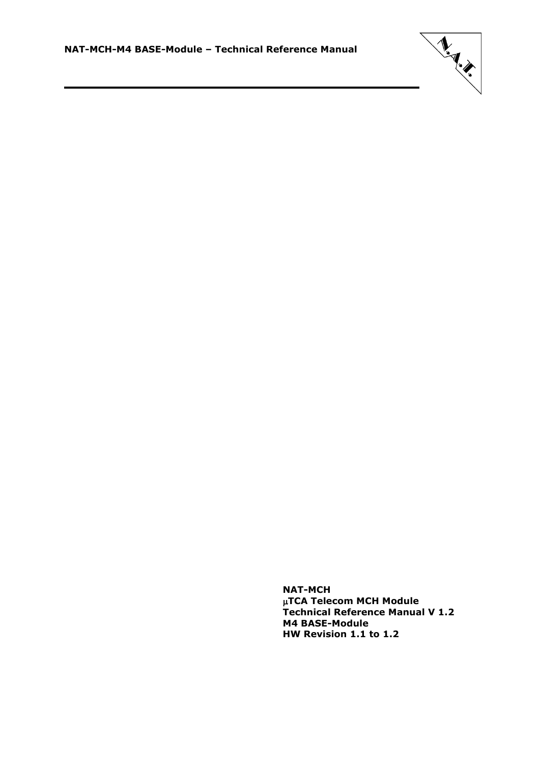

**NAT-MCH TCA Telecom MCH Module Technical Reference Manual V 1.2 M4 BASE-Module HW Revision 1.1 to 1.2**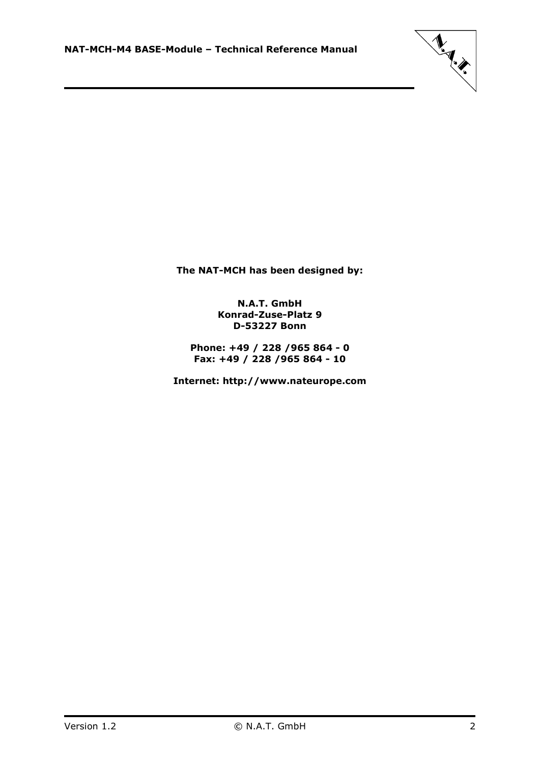

**The NAT-MCH has been designed by:**

### **N.A.T. GmbH Konrad-Zuse-Platz 9 D-53227 Bonn**

**Phone: +49 / 228 /965 864 - 0 Fax: +49 / 228 /965 864 - 10**

**Internet: http://www.nateurope.com**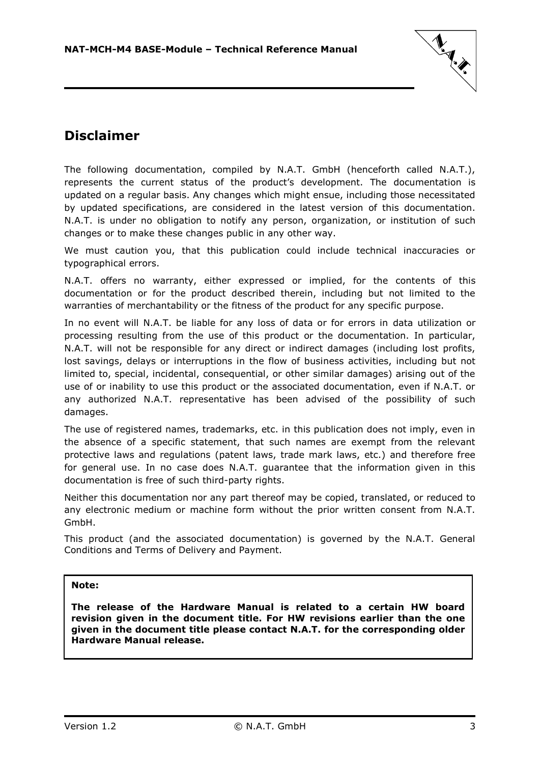

### <span id="page-2-0"></span>**Disclaimer**

The following documentation, compiled by N.A.T. GmbH (henceforth called N.A.T.), represents the current status of the product's development. The documentation is updated on a regular basis. Any changes which might ensue, including those necessitated by updated specifications, are considered in the latest version of this documentation. N.A.T. is under no obligation to notify any person, organization, or institution of such changes or to make these changes public in any other way.

We must caution you, that this publication could include technical inaccuracies or typographical errors.

N.A.T. offers no warranty, either expressed or implied, for the contents of this documentation or for the product described therein, including but not limited to the warranties of merchantability or the fitness of the product for any specific purpose.

In no event will N.A.T. be liable for any loss of data or for errors in data utilization or processing resulting from the use of this product or the documentation. In particular, N.A.T. will not be responsible for any direct or indirect damages (including lost profits, lost savings, delays or interruptions in the flow of business activities, including but not limited to, special, incidental, consequential, or other similar damages) arising out of the use of or inability to use this product or the associated documentation, even if N.A.T. or any authorized N.A.T. representative has been advised of the possibility of such damages.

The use of registered names, trademarks, etc. in this publication does not imply, even in the absence of a specific statement, that such names are exempt from the relevant protective laws and regulations (patent laws, trade mark laws, etc.) and therefore free for general use. In no case does N.A.T. guarantee that the information given in this documentation is free of such third-party rights.

Neither this documentation nor any part thereof may be copied, translated, or reduced to any electronic medium or machine form without the prior written consent from N.A.T. GmbH.

This product (and the associated documentation) is governed by the N.A.T. General Conditions and Terms of Delivery and Payment.

### **Note:**

**The release of the Hardware Manual is related to a certain HW board revision given in the document title. For HW revisions earlier than the one given in the document title please contact N.A.T. for the corresponding older Hardware Manual release.**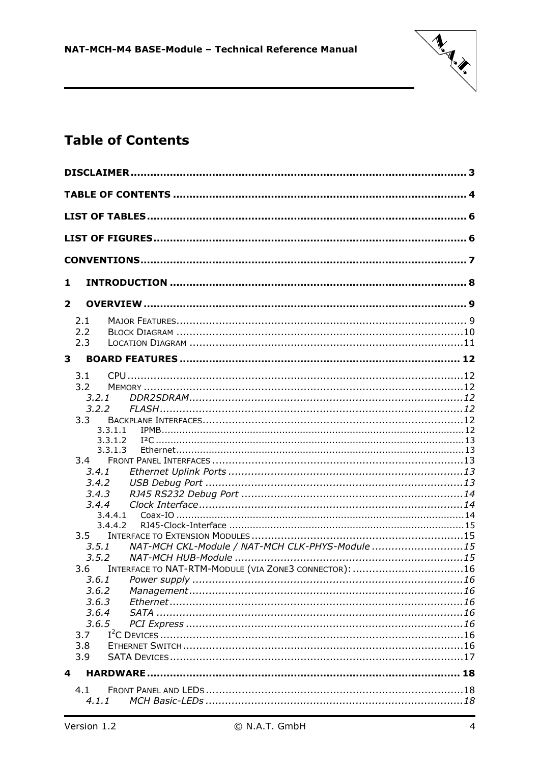

# <span id="page-3-0"></span>**Table of Contents**

| 1            |                                                       |  |
|--------------|-------------------------------------------------------|--|
| $\mathbf{2}$ |                                                       |  |
| 2.1          |                                                       |  |
| 2.2          |                                                       |  |
| 2.3          |                                                       |  |
| 3            |                                                       |  |
| 3.1          |                                                       |  |
| 3.2          |                                                       |  |
|              | 3.2.1                                                 |  |
|              | 3.2.2                                                 |  |
| 3.3          |                                                       |  |
|              | 3.3.1.1                                               |  |
|              | 3.3.1.2                                               |  |
|              | 3.3.1.3                                               |  |
| 3.4          |                                                       |  |
|              | 3.4.1                                                 |  |
|              | 3.4.2                                                 |  |
|              | 3.4.3                                                 |  |
|              | 3.4.4                                                 |  |
|              | 3.4.4.1                                               |  |
|              | 3.4.4.2                                               |  |
| 3.5          | NAT-MCH CKL-Module / NAT-MCH CLK-PHYS-Module 15       |  |
|              | 3.5.1<br>3.5.2                                        |  |
| 3.6          | INTERFACE TO NAT-RTM-MODULE (VIA ZONE3 CONNECTOR): 16 |  |
|              | 3.6.1                                                 |  |
|              | 3.6.2                                                 |  |
|              | 3.6.3                                                 |  |
|              | 3.6.4                                                 |  |
|              | 3.6.5                                                 |  |
| 3.7          |                                                       |  |
| 3.8          |                                                       |  |
| 3.9          |                                                       |  |
| 4            |                                                       |  |
|              |                                                       |  |
| 4.1          |                                                       |  |
|              | 4.1.1                                                 |  |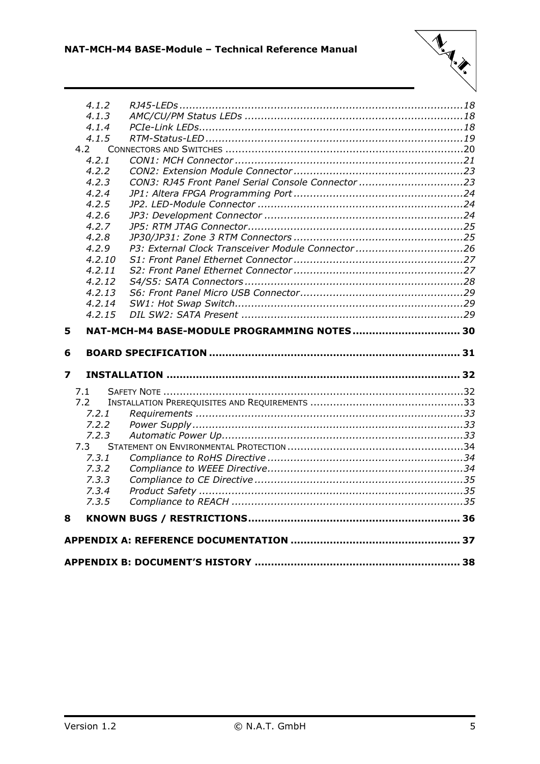

|                         | 4.1.2<br>4.1.3 |                                                   |  |
|-------------------------|----------------|---------------------------------------------------|--|
|                         | 4.1.4          |                                                   |  |
|                         | 4.1.5          |                                                   |  |
|                         | 4.2            |                                                   |  |
|                         | 4.2.1          |                                                   |  |
|                         | 4.2.2          |                                                   |  |
|                         | 4.2.3          |                                                   |  |
|                         | 4.2.4          |                                                   |  |
|                         | 4.2.5          |                                                   |  |
|                         | 4.2.6          |                                                   |  |
|                         | 4.2.7          |                                                   |  |
|                         | 4.2.8          |                                                   |  |
|                         | 4.2.9          | P3: External Clock Transceiver Module Connector26 |  |
|                         | 4.2.10         |                                                   |  |
|                         | 4.2.11         |                                                   |  |
|                         | 4.2.12         |                                                   |  |
|                         | 4.2.13         |                                                   |  |
|                         | 4.2.14         |                                                   |  |
|                         | 4.2.15         |                                                   |  |
| 5                       |                |                                                   |  |
|                         |                |                                                   |  |
| 6                       |                |                                                   |  |
| $\overline{\mathbf{z}}$ |                |                                                   |  |
|                         | 7.1            |                                                   |  |
|                         | 7.2            |                                                   |  |
|                         | 7.2.1          |                                                   |  |
|                         | 7.2.2          |                                                   |  |
|                         | 7.2.3          |                                                   |  |
|                         | 7.3            |                                                   |  |
|                         | 7.3.1          |                                                   |  |
|                         | 7.3.2          |                                                   |  |
|                         | 7.3.3          |                                                   |  |
|                         | 7.3.4          |                                                   |  |
|                         | 7.3.5          |                                                   |  |
| 8                       |                |                                                   |  |
|                         |                |                                                   |  |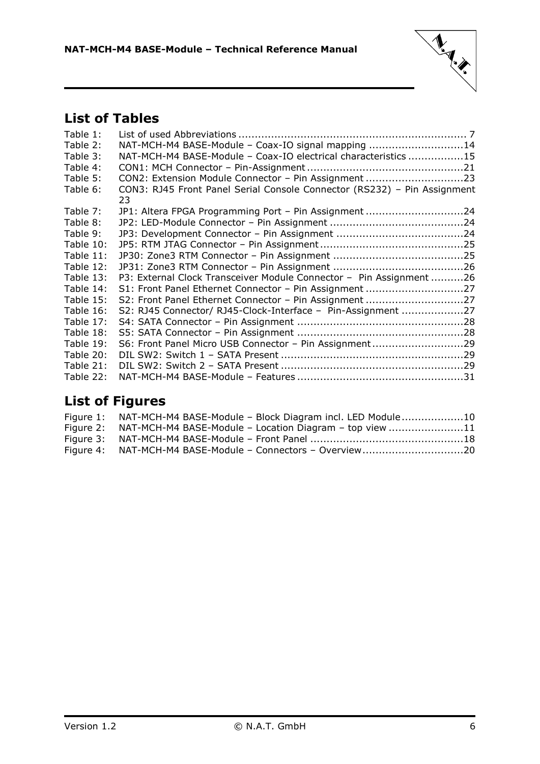

# <span id="page-5-0"></span>**List of Tables**

| Table 1:  |                                                                                |  |
|-----------|--------------------------------------------------------------------------------|--|
| Table 2:  | NAT-MCH-M4 BASE-Module - Coax-IO signal mapping 14                             |  |
| Table 3:  | NAT-MCH-M4 BASE-Module - Coax-IO electrical characteristics 15                 |  |
| Table 4:  |                                                                                |  |
| Table 5:  | CON2: Extension Module Connector - Pin Assignment 23                           |  |
| Table 6:  | CON3: RJ45 Front Panel Serial Console Connector (RS232) - Pin Assignment<br>23 |  |
| Table 7:  | JP1: Altera FPGA Programming Port - Pin Assignment 24                          |  |
| Table 8:  |                                                                                |  |
| Table 9:  |                                                                                |  |
| Table 10: |                                                                                |  |
| Table 11: |                                                                                |  |
| Table 12: |                                                                                |  |
| Table 13: | P3: External Clock Transceiver Module Connector - Pin Assignment 26            |  |
| Table 14: | S1: Front Panel Ethernet Connector - Pin Assignment 27                         |  |
| Table 15: | S2: Front Panel Ethernet Connector - Pin Assignment 27                         |  |
| Table 16: | S2: RJ45 Connector/ RJ45-Clock-Interface - Pin-Assignment 27                   |  |
| Table 17: |                                                                                |  |
| Table 18: |                                                                                |  |
| Table 19: | S6: Front Panel Micro USB Connector - Pin Assignment29                         |  |
| Table 20: |                                                                                |  |
| Table 21: |                                                                                |  |
| Table 22: |                                                                                |  |

## <span id="page-5-1"></span>**List of Figures**

| Figure 1: NAT-MCH-M4 BASE-Module - Block Diagram incl. LED Module10 |  |
|---------------------------------------------------------------------|--|
| Figure 2: NAT-MCH-M4 BASE-Module - Location Diagram - top view 11   |  |
|                                                                     |  |
| Figure 4: NAT-MCH-M4 BASE-Module - Connectors - Overview20          |  |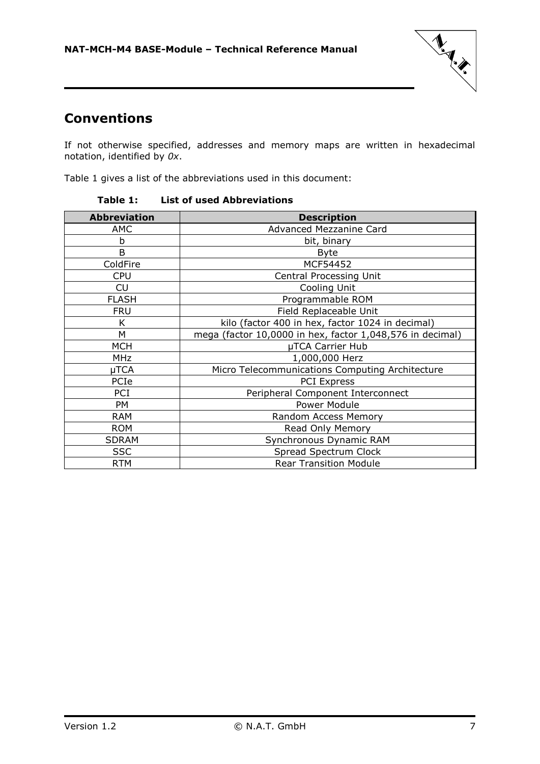

### <span id="page-6-0"></span>**Conventions**

If not otherwise specified, addresses and memory maps are written in hexadecimal notation, identified by *0x*.

<span id="page-6-1"></span>Table 1 gives a list of the abbreviations used in this document:

| <b>Abbreviation</b> | <b>Description</b>                                        |
|---------------------|-----------------------------------------------------------|
| AMC                 | Advanced Mezzanine Card                                   |
| b                   | bit, binary                                               |
| B                   | <b>Byte</b>                                               |
| ColdFire            | MCF54452                                                  |
| <b>CPU</b>          | <b>Central Processing Unit</b>                            |
| CU                  | Cooling Unit                                              |
| <b>FLASH</b>        | Programmable ROM                                          |
| <b>FRU</b>          | Field Replaceable Unit                                    |
| Κ                   | kilo (factor 400 in hex, factor 1024 in decimal)          |
| М                   | mega (factor 10,0000 in hex, factor 1,048,576 in decimal) |
| <b>MCH</b>          | µTCA Carrier Hub                                          |
| <b>MHz</b>          | 1,000,000 Herz                                            |
| µTCA                | Micro Telecommunications Computing Architecture           |
| PCIe                | <b>PCI Express</b>                                        |
| PCI                 | Peripheral Component Interconnect                         |
| PM                  | Power Module                                              |
| <b>RAM</b>          | Random Access Memory                                      |
| <b>ROM</b>          | Read Only Memory                                          |
| <b>SDRAM</b>        | Synchronous Dynamic RAM                                   |
| <b>SSC</b>          | Spread Spectrum Clock                                     |
| <b>RTM</b>          | <b>Rear Transition Module</b>                             |

**Table 1: List of used Abbreviations**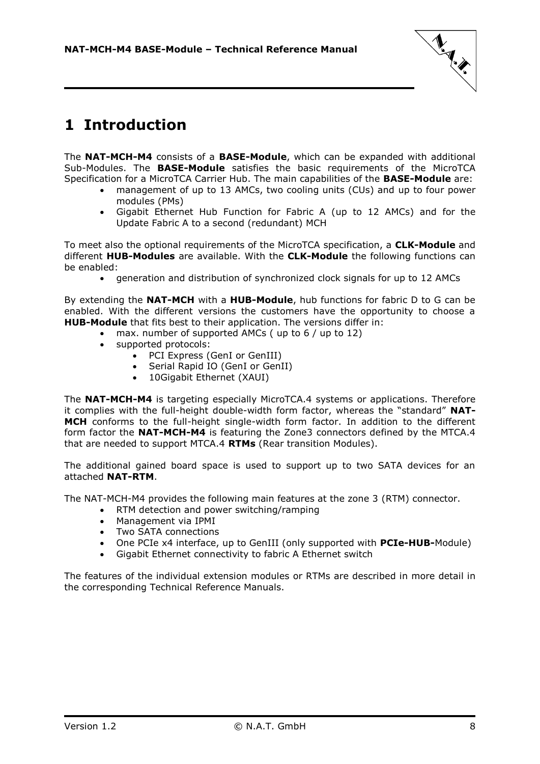

# <span id="page-7-0"></span>**1 Introduction**

The **NAT-MCH-M4** consists of a **BASE-Module**, which can be expanded with additional Sub-Modules. The **BASE-Module** satisfies the basic requirements of the MicroTCA Specification for a MicroTCA Carrier Hub. The main capabilities of the **BASE-Module** are:

- management of up to 13 AMCs, two cooling units (CUs) and up to four power modules (PMs)
- Gigabit Ethernet Hub Function for Fabric A (up to 12 AMCs) and for the Update Fabric A to a second (redundant) MCH

To meet also the optional requirements of the MicroTCA specification, a **CLK-Module** and different **HUB-Modules** are available. With the **CLK-Module** the following functions can be enabled:

generation and distribution of synchronized clock signals for up to 12 AMCs

By extending the **NAT-MCH** with a **HUB-Module**, hub functions for fabric D to G can be enabled. With the different versions the customers have the opportunity to choose a **HUB-Module** that fits best to their application. The versions differ in:

- max. number of supported AMCs ( up to 6 / up to 12)
- supported protocols:
	- PCI Express (GenI or GenIII)
	- Serial Rapid IO (GenI or GenII)
	- 10Gigabit Ethernet (XAUI)

The **NAT-MCH-M4** is targeting especially MicroTCA.4 systems or applications. Therefore it complies with the full-height double-width form factor, whereas the "standard" **NAT-MCH** conforms to the full-height single-width form factor. In addition to the different form factor the **NAT-MCH-M4** is featuring the Zone3 connectors defined by the MTCA.4 that are needed to support MTCA.4 **RTMs** (Rear transition Modules).

The additional gained board space is used to support up to two SATA devices for an attached **NAT-RTM**.

The NAT-MCH-M4 provides the following main features at the zone 3 (RTM) connector.

- RTM detection and power switching/ramping
- Management via IPMI
- Two SATA connections
- One PCIe x4 interface, up to GenIII (only supported with **PCIe-HUB-**Module)
- Gigabit Ethernet connectivity to fabric A Ethernet switch

The features of the individual extension modules or RTMs are described in more detail in the corresponding Technical Reference Manuals.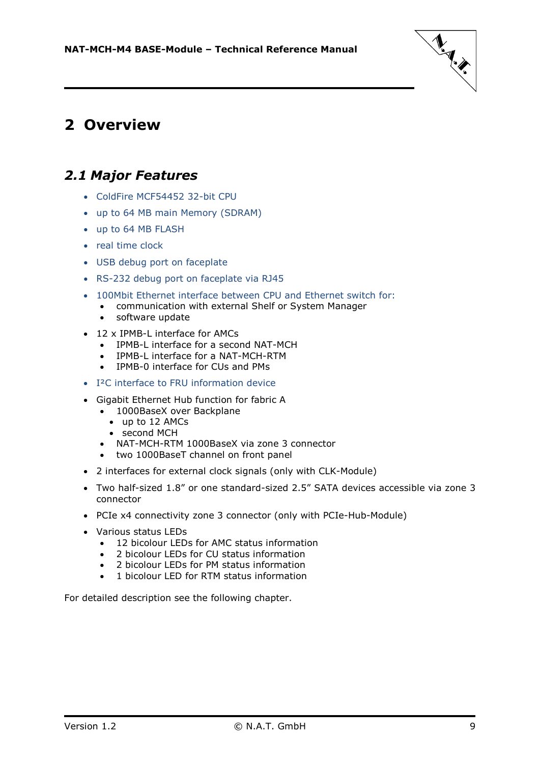

# <span id="page-8-0"></span>**2 Overview**

### <span id="page-8-1"></span>*2.1 Major Features*

- ColdFire MCF54452 32-bit CPU
- up to 64 MB main Memory (SDRAM)
- up to 64 MB FLASH
- real time clock
- USB debug port on faceplate
- RS-232 debug port on faceplate via RJ45
- 100Mbit Ethernet interface between CPU and Ethernet switch for:
	- communication with external Shelf or System Manager
	- software update
- 12 x IPMB-L interface for AMCs
	- IPMB-L interface for a second NAT-MCH
	- IPMB-L interface for a NAT-MCH-RTM
	- IPMB-0 interface for CUs and PMs
- I<sup>2</sup>C interface to FRU information device
- Gigabit Ethernet Hub function for fabric A
	- 1000BaseX over Backplane
		- up to 12 AMCs
		- second MCH
	- NAT-MCH-RTM 1000BaseX via zone 3 connector
	- two 1000BaseT channel on front panel
- 2 interfaces for external clock signals (only with CLK-Module)
- Two half-sized 1.8" or one standard-sized 2.5" SATA devices accessible via zone 3 connector
- PCIe x4 connectivity zone 3 connector (only with PCIe-Hub-Module)
- Various status LEDs
	- 12 bicolour LEDs for AMC status information
	- 2 bicolour LEDs for CU status information
	- 2 bicolour LEDs for PM status information
	- 1 bicolour LED for RTM status information

For detailed description see the following chapter.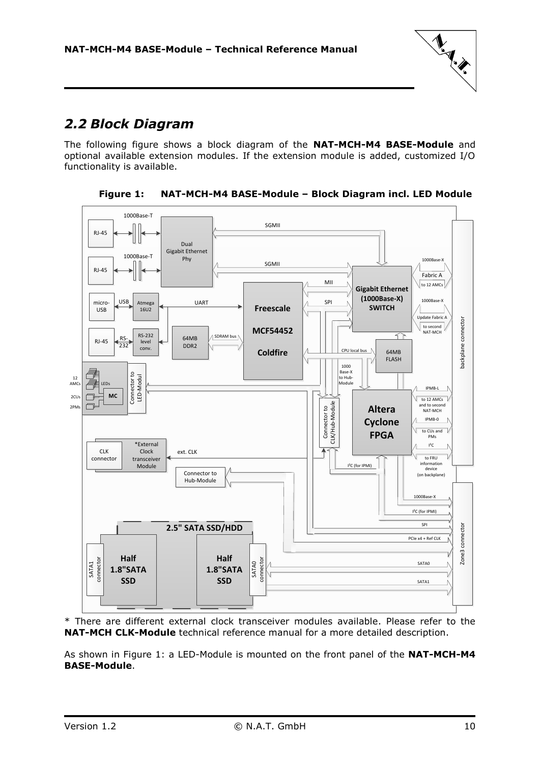

### <span id="page-9-0"></span>*2.2 Block Diagram*

The following figure shows a block diagram of the **NAT-MCH-M4 BASE-Module** and optional available extension modules. If the extension module is added, customized I/O functionality is available.

<span id="page-9-1"></span>

**Figure 1: NAT-MCH-M4 BASE-Module – Block Diagram incl. LED Module**

\* There are different external clock transceiver modules available. Please refer to the **NAT-MCH CLK-Module** technical reference manual for a more detailed description.

As shown in [Figure 1:](#page-9-1) a LED-Module is mounted on the front panel of the **NAT-MCH-M4 BASE-Module**.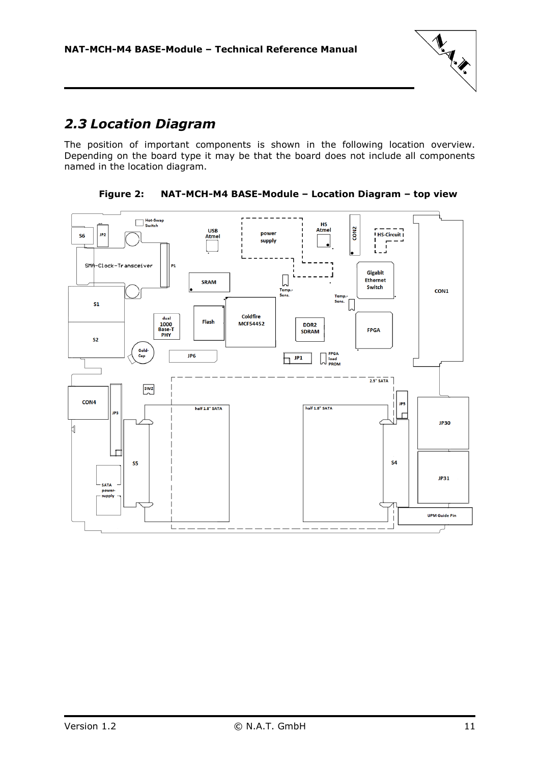

### <span id="page-10-0"></span>*2.3 Location Diagram*

The position of important components is shown in the following location overview. Depending on the board type it may be that the board does not include all components named in the location diagram.

<span id="page-10-1"></span>

**Figure 2: NAT-MCH-M4 BASE-Module – Location Diagram – top view**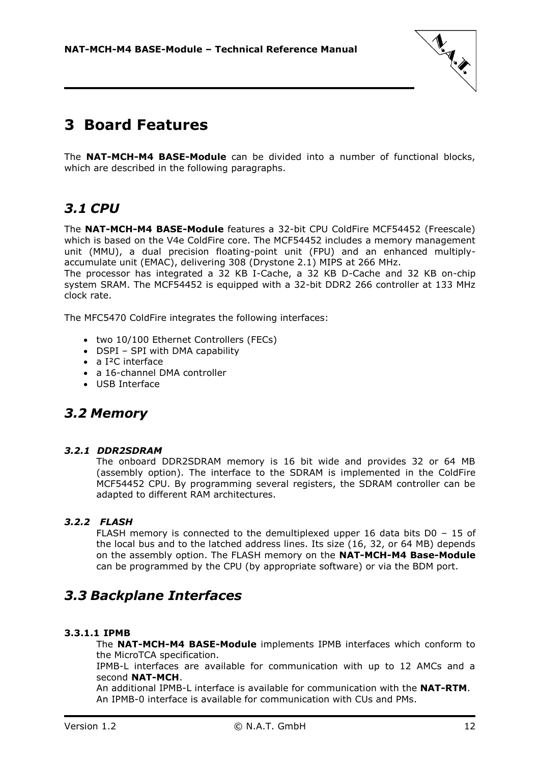

# <span id="page-11-0"></span>**3 Board Features**

The **NAT-MCH-M4 BASE-Module** can be divided into a number of functional blocks, which are described in the following paragraphs.

### <span id="page-11-1"></span>*3.1 CPU*

The **NAT-MCH-M4 BASE-Module** features a 32-bit CPU ColdFire MCF54452 (Freescale) which is based on the V4e ColdFire core. The MCF54452 includes a memory management unit (MMU), a dual precision floating-point unit (FPU) and an enhanced multiplyaccumulate unit (EMAC), delivering 308 (Drystone 2.1) MIPS at 266 MHz.

The processor has integrated a 32 KB I-Cache, a 32 KB D-Cache and 32 KB on-chip system SRAM. The MCF54452 is equipped with a 32-bit DDR2 266 controller at 133 MHz clock rate.

The MFC5470 ColdFire integrates the following interfaces:

- two 10/100 Ethernet Controllers (FECs)
- DSPI SPI with DMA capability
- a I²C interface
- a 16-channel DMA controller
- USB Interface

### <span id="page-11-2"></span>*3.2 Memory*

#### <span id="page-11-3"></span>*3.2.1 DDR2SDRAM*

The onboard DDR2SDRAM memory is 16 bit wide and provides 32 or 64 MB (assembly option). The interface to the SDRAM is implemented in the ColdFire MCF54452 CPU. By programming several registers, the SDRAM controller can be adapted to different RAM architectures.

### *3.2.2 FLASH*

<span id="page-11-4"></span>FLASH memory is connected to the demultiplexed upper 16 data bits D0 – 15 of the local bus and to the latched address lines. Its size (16, 32, or 64 MB) depends on the assembly option. The FLASH memory on the **NAT-MCH-M4 Base-Module** can be programmed by the CPU (by appropriate software) or via the BDM port.

### <span id="page-11-5"></span>*3.3 Backplane Interfaces*

### <span id="page-11-6"></span>**3.3.1.1 IPMB**

The **NAT-MCH-M4 BASE-Module** implements IPMB interfaces which conform to the MicroTCA specification.

IPMB-L interfaces are available for communication with up to 12 AMCs and a second **NAT-MCH**.

An additional IPMB-L interface is available for communication with the **NAT-RTM**. An IPMB-0 interface is available for communication with CUs and PMs.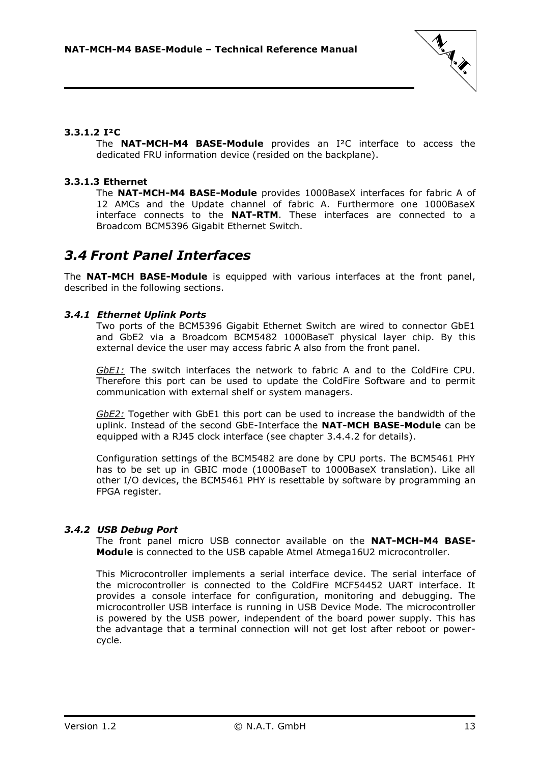

### <span id="page-12-0"></span>**3.3.1.2 I²C**

The **NAT-MCH-M4 BASE-Module** provides an I²C interface to access the dedicated FRU information device (resided on the backplane).

### <span id="page-12-1"></span>**3.3.1.3 Ethernet**

The **NAT-MCH-M4 BASE-Module** provides 1000BaseX interfaces for fabric A of 12 AMCs and the Update channel of fabric A. Furthermore one 1000BaseX interface connects to the **NAT-RTM**. These interfaces are connected to a Broadcom BCM5396 Gigabit Ethernet Switch.

### <span id="page-12-2"></span>*3.4 Front Panel Interfaces*

The **NAT-MCH BASE-Module** is equipped with various interfaces at the front panel, described in the following sections.

#### <span id="page-12-3"></span>*3.4.1 Ethernet Uplink Ports*

Two ports of the BCM5396 Gigabit Ethernet Switch are wired to connector GbE1 and GbE2 via a Broadcom BCM5482 1000BaseT physical layer chip. By this external device the user may access fabric A also from the front panel.

*GbE1:* The switch interfaces the network to fabric A and to the ColdFire CPU. Therefore this port can be used to update the ColdFire Software and to permit communication with external shelf or system managers.

*GbE2:* Together with GbE1 this port can be used to increase the bandwidth of the uplink. Instead of the second GbE-Interface the **NAT-MCH BASE-Module** can be equipped with a RJ45 clock interface (see chapter [3.4.4.2](#page-14-0) for details).

Configuration settings of the BCM5482 are done by CPU ports. The BCM5461 PHY has to be set up in GBIC mode (1000BaseT to 1000BaseX translation). Like all other I/O devices, the BCM5461 PHY is resettable by software by programming an FPGA register.

#### <span id="page-12-4"></span>*3.4.2 USB Debug Port*

The front panel micro USB connector available on the **NAT-MCH-M4 BASE-Module** is connected to the USB capable Atmel Atmega16U2 microcontroller.

This Microcontroller implements a serial interface device. The serial interface of the microcontroller is connected to the ColdFire MCF54452 UART interface. It provides a console interface for configuration, monitoring and debugging. The microcontroller USB interface is running in USB Device Mode. The microcontroller is powered by the USB power, independent of the board power supply. This has the advantage that a terminal connection will not get lost after reboot or powercycle.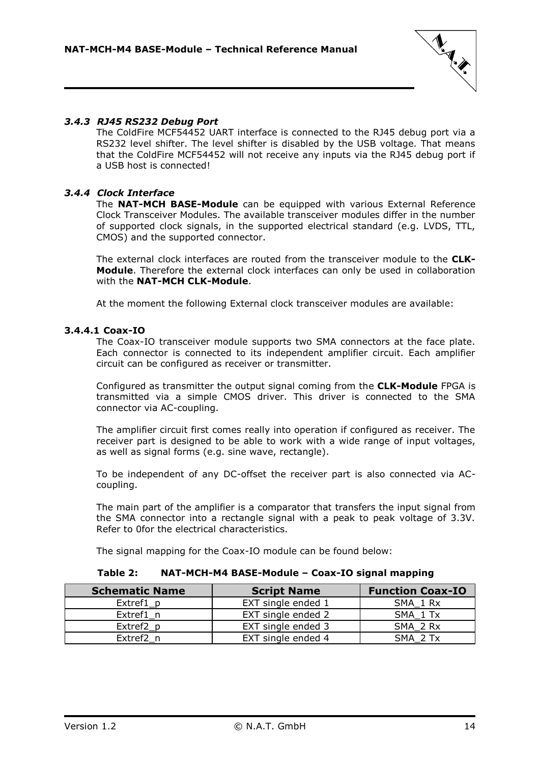

### <span id="page-13-0"></span>*3.4.3 RJ45 RS232 Debug Port*

The ColdFire MCF54452 UART interface is connected to the RJ45 debug port via a RS232 level shifter. The level shifter is disabled by the USB voltage. That means that the ColdFire MCF54452 will not receive any inputs via the RJ45 debug port if a USB host is connected!

### <span id="page-13-1"></span>*3.4.4 Clock Interface*

The **NAT-MCH BASE-Module** can be equipped with various External Reference Clock Transceiver Modules. The available transceiver modules differ in the number of supported clock signals, in the supported electrical standard (e.g. LVDS, TTL, CMOS) and the supported connector.

The external clock interfaces are routed from the transceiver module to the **CLK-Module**. Therefore the external clock interfaces can only be used in collaboration with the **NAT-MCH CLK-Module**.

At the moment the following External clock transceiver modules are available:

#### <span id="page-13-2"></span>**3.4.4.1 Coax-IO**

The Coax-IO transceiver module supports two SMA connectors at the face plate. Each connector is connected to its independent amplifier circuit. Each amplifier circuit can be configured as receiver or transmitter.

Configured as transmitter the output signal coming from the **CLK-Module** FPGA is transmitted via a simple CMOS driver. This driver is connected to the SMA connector via AC-coupling.

The amplifier circuit first comes really into operation if configured as receiver. The receiver part is designed to be able to work with a wide range of input voltages, as well as signal forms (e.g. sine wave, rectangle).

To be independent of any DC-offset the receiver part is also connected via ACcoupling.

The main part of the amplifier is a comparator that transfers the input signal from the SMA connector into a rectangle signal with a peak to peak voltage of 3.3V. Refer to [0f](#page-13-4)or the electrical characteristics.

The signal mapping for the Coax-IO module can be found below:

#### **Table 2: NAT-MCH-M4 BASE-Module – Coax-IO signal mapping**

<span id="page-13-4"></span><span id="page-13-3"></span>

| <b>Schematic Name</b> | <b>Script Name</b> | <b>Function Coax-IO</b> |
|-----------------------|--------------------|-------------------------|
| Extref1 p             | EXT single ended 1 | SMA 1 Rx                |
| Extref1 n             | EXT single ended 2 | SMA 1 Tx                |
| Extref2 p             | EXT single ended 3 | SMA 2 Rx                |
| Extref2 n             | EXT single ended 4 | SMA 2 Tx                |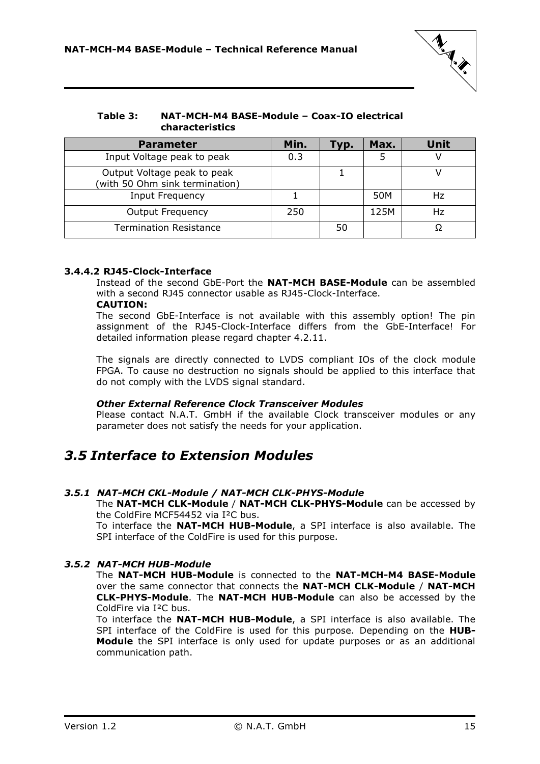

#### <span id="page-14-4"></span>**Table 3: NAT-MCH-M4 BASE-Module – Coax-IO electrical characteristics**

| <b>Parameter</b>                                              | Min. | Гур. | Max. | <b>Unit</b> |
|---------------------------------------------------------------|------|------|------|-------------|
| Input Voltage peak to peak                                    | 0.3  |      |      |             |
| Output Voltage peak to peak<br>(with 50 Ohm sink termination) |      |      |      |             |
| Input Frequency                                               |      |      | 50M  | Hz          |
| <b>Output Frequency</b>                                       | 250  |      | 125M | Hz          |
| <b>Termination Resistance</b>                                 |      | 50   |      |             |

### <span id="page-14-0"></span>**3.4.4.2 RJ45-Clock-Interface**

Instead of the second GbE-Port the **NAT-MCH BASE-Module** can be assembled with a second RJ45 connector usable as RJ45-Clock-Interface.

#### **CAUTION:**

The second GbE-Interface is not available with this assembly option! The pin assignment of the RJ45-Clock-Interface differs from the GbE-Interface! For detailed information please regard chapter [4.2.11.](#page-26-1)

The signals are directly connected to LVDS compliant IOs of the clock module FPGA. To cause no destruction no signals should be applied to this interface that do not comply with the LVDS signal standard.

#### *Other External Reference Clock Transceiver Modules*

Please contact N.A.T. GmbH if the available Clock transceiver modules or any parameter does not satisfy the needs for your application.

### <span id="page-14-1"></span>*3.5 Interface to Extension Modules*

#### <span id="page-14-2"></span>*3.5.1 NAT-MCH CKL-Module / NAT-MCH CLK-PHYS-Module*

The **NAT-MCH CLK-Module** / **NAT-MCH CLK-PHYS-Module** can be accessed by the ColdFire MCF54452 via I²C bus.

To interface the **NAT-MCH HUB-Module**, a SPI interface is also available. The SPI interface of the ColdFire is used for this purpose.

### <span id="page-14-3"></span>*3.5.2 NAT-MCH HUB-Module*

The **NAT-MCH HUB-Module** is connected to the **NAT-MCH-M4 BASE-Module** over the same connector that connects the **NAT-MCH CLK-Module** / **NAT-MCH CLK-PHYS-Module**. The **NAT-MCH HUB-Module** can also be accessed by the ColdFire via I²C bus.

To interface the **NAT-MCH HUB-Module**, a SPI interface is also available. The SPI interface of the ColdFire is used for this purpose. Depending on the **HUB-Module** the SPI interface is only used for update purposes or as an additional communication path.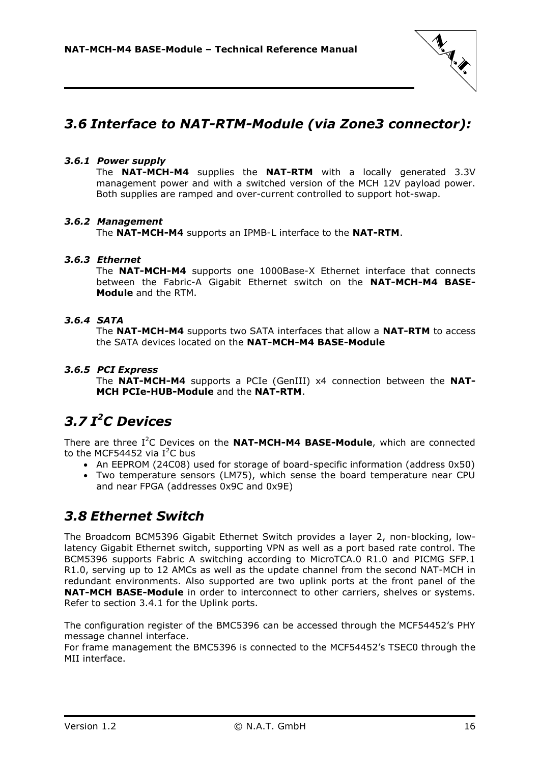

### <span id="page-15-0"></span>*3.6 Interface to NAT-RTM-Module (via Zone3 connector):*

### <span id="page-15-1"></span>*3.6.1 Power supply*

The **NAT-MCH-M4** supplies the **NAT-RTM** with a locally generated 3.3V management power and with a switched version of the MCH 12V payload power. Both supplies are ramped and over-current controlled to support hot-swap.

### <span id="page-15-2"></span>*3.6.2 Management*

The **NAT-MCH-M4** supports an IPMB-L interface to the **NAT-RTM**.

### <span id="page-15-3"></span>*3.6.3 Ethernet*

The **NAT-MCH-M4** supports one 1000Base-X Ethernet interface that connects between the Fabric-A Gigabit Ethernet switch on the **NAT-MCH-M4 BASE-Module** and the RTM.

### <span id="page-15-4"></span>*3.6.4 SATA*

The **NAT-MCH-M4** supports two SATA interfaces that allow a **NAT-RTM** to access the SATA devices located on the **NAT-MCH-M4 BASE-Module**

### <span id="page-15-5"></span>*3.6.5 PCI Express*

The **NAT-MCH-M4** supports a PCIe (GenIII) x4 connection between the **NAT-MCH PCIe-HUB-Module** and the **NAT-RTM**.

### <span id="page-15-6"></span>*3.7 I <sup>2</sup>C Devices*

There are three I<sup>2</sup>C Devices on the **NAT-MCH-M4 BASE-Module**, which are connected to the MCF54452 via  $I^2C$  bus

- An EEPROM (24C08) used for storage of board-specific information (address 0x50)
- Two temperature sensors (LM75), which sense the board temperature near CPU and near FPGA (addresses 0x9C and 0x9E)

### <span id="page-15-7"></span>*3.8 Ethernet Switch*

The Broadcom BCM5396 Gigabit Ethernet Switch provides a layer 2, non-blocking, lowlatency Gigabit Ethernet switch, supporting VPN as well as a port based rate control. The BCM5396 supports Fabric A switching according to MicroTCA.0 R1.0 and PICMG SFP.1 R1.0, serving up to 12 AMCs as well as the update channel from the second NAT-MCH in redundant environments. Also supported are two uplink ports at the front panel of the **NAT-MCH BASE-Module** in order to interconnect to other carriers, shelves or systems. Refer to section [3.4.1](#page-12-3) for the Uplink ports.

The configuration register of the BMC5396 can be accessed through the MCF54452's PHY message channel interface.

For frame management the BMC5396 is connected to the MCF54452's TSEC0 through the MII interface.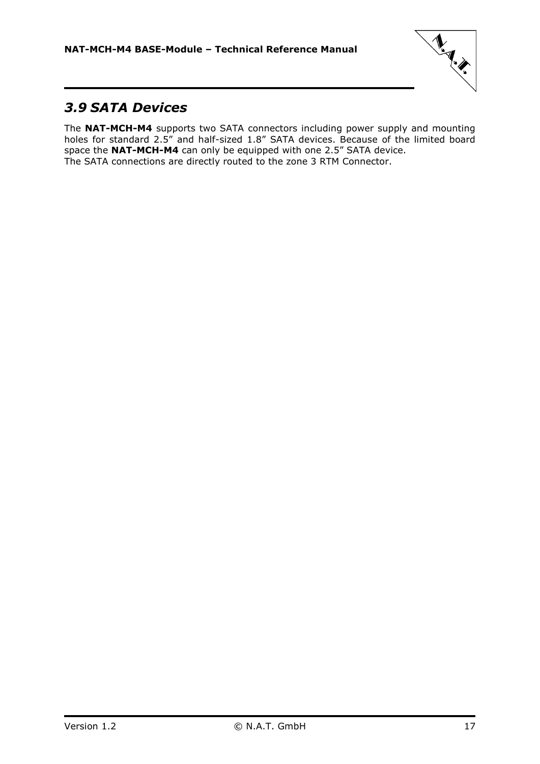

### <span id="page-16-0"></span>*3.9 SATA Devices*

The **NAT-MCH-M4** supports two SATA connectors including power supply and mounting holes for standard 2.5" and half-sized 1.8" SATA devices. Because of the limited board space the **NAT-MCH-M4** can only be equipped with one 2.5" SATA device. The SATA connections are directly routed to the zone 3 RTM Connector.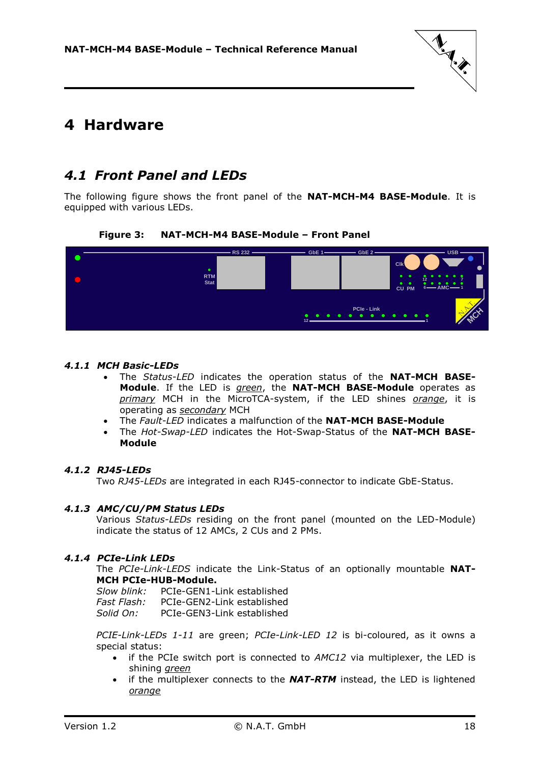

### <span id="page-17-0"></span>**4 Hardware**

### <span id="page-17-1"></span>*4.1 Front Panel and LEDs*

<span id="page-17-6"></span>The following figure shows the front panel of the **NAT-MCH-M4 BASE-Module**. It is equipped with various LEDs.

### **Figure 3: NAT-MCH-M4 BASE-Module – Front Panel**



### <span id="page-17-2"></span>*4.1.1 MCH Basic-LEDs*

- The *Status-LED* indicates the operation status of the **NAT-MCH BASE-Module**. If the LED is *green*, the **NAT-MCH BASE-Module** operates as *primary* MCH in the MicroTCA-system, if the LED shines *orange*, it is operating as *secondary* MCH
- The *Fault-LED* indicates a malfunction of the **NAT-MCH BASE-Module**
- The *Hot-Swap-LED* indicates the Hot-Swap-Status of the **NAT-MCH BASE-Module**

#### <span id="page-17-3"></span>*4.1.2 RJ45-LEDs*

Two *RJ45-LEDs* are integrated in each RJ45-connector to indicate GbE-Status.

#### <span id="page-17-4"></span>*4.1.3 AMC/CU/PM Status LEDs*

Various *Status-LEDs* residing on the front panel (mounted on the LED-Module) indicate the status of 12 AMCs, 2 CUs and 2 PMs.

#### <span id="page-17-5"></span>*4.1.4 PCIe-Link LEDs*

The *PCIe-Link-LEDS* indicate the Link-Status of an optionally mountable **NAT-MCH PCIe-HUB-Module.**

| Slow blink: | PCIe-GEN1-Link established |
|-------------|----------------------------|
| Fast Flash: | PCIe-GEN2-Link established |
| Solid On:   | PCIe-GEN3-Link established |

*PCIE-Link-LEDs 1-11* are green; *PCIe-Link-LED 12* is bi-coloured, as it owns a special status:

- if the PCIe switch port is connected to *AMC12* via multiplexer, the LED is shining *green*
- if the multiplexer connects to the *NAT-RTM* instead, the LED is lightened *orange*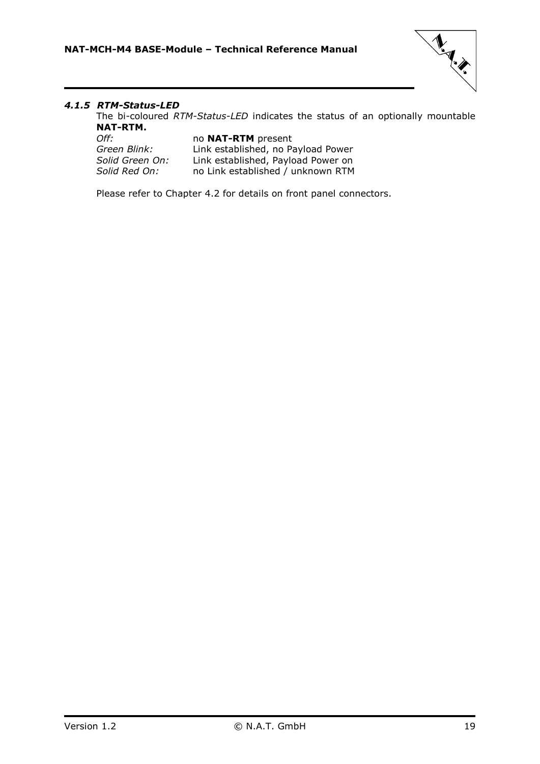

### <span id="page-18-0"></span>*4.1.5 RTM-Status-LED*

The bi-coloured *RTM-Status-LED* indicates the status of an optionally mountable **NAT-RTM.**

| no <b>NAT-RTM</b> present          |
|------------------------------------|
| Link established, no Payload Power |
| Link established, Payload Power on |
| no Link established / unknown RTM  |
|                                    |

Please refer to Chapter [4.2](#page-19-0) for details on front panel connectors.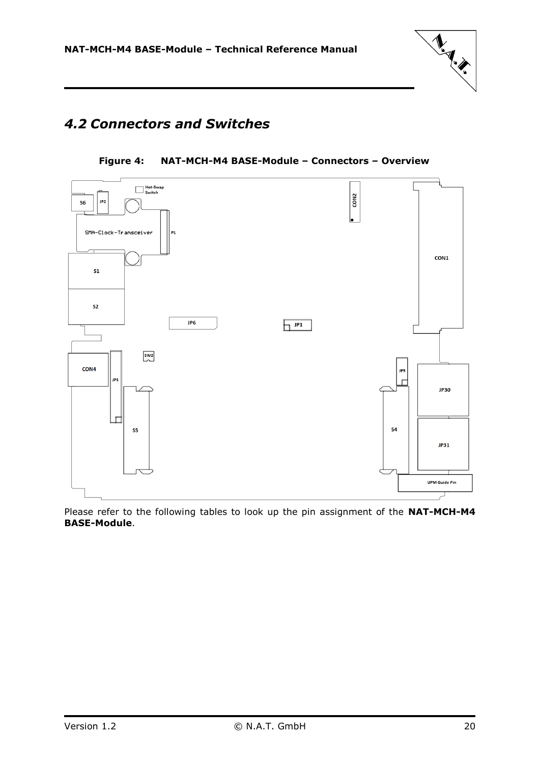

### <span id="page-19-1"></span><span id="page-19-0"></span>*4.2 Connectors and Switches*





Please refer to the following tables to look up the pin assignment of the **NAT-MCH-M4 BASE-Module**.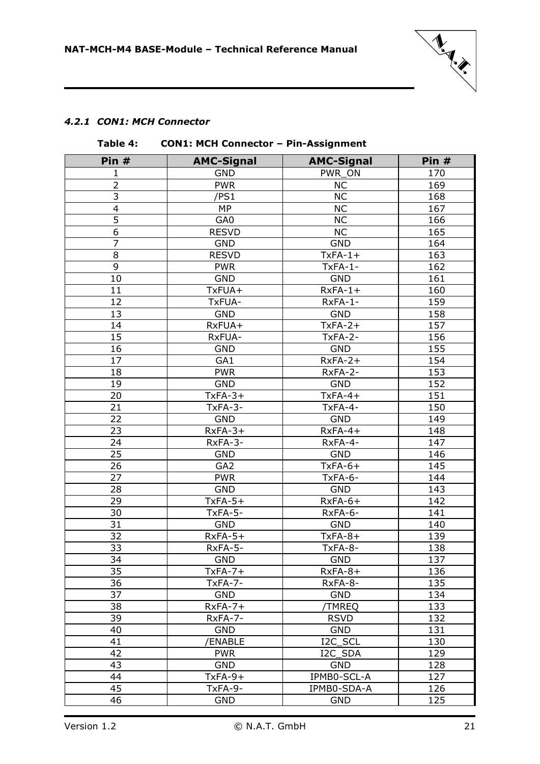

### <span id="page-20-1"></span><span id="page-20-0"></span>*4.2.1 CON1: MCH Connector*

|                         | $I$ avic $I$ .<br>CONT. MCH CONNECTOR - FIN-ASSIGNMENT |                   |       |  |  |
|-------------------------|--------------------------------------------------------|-------------------|-------|--|--|
| Pin $#$                 | <b>AMC-Signal</b>                                      | <b>AMC-Signal</b> | Pin # |  |  |
| 1                       | <b>GND</b>                                             | PWR ON            | 170   |  |  |
| $\overline{2}$          | <b>PWR</b>                                             | <b>NC</b>         | 169   |  |  |
| 3                       | /PS1                                                   | <b>NC</b>         | 168   |  |  |
| $\overline{\mathbf{4}}$ | MP                                                     | <b>NC</b>         | 167   |  |  |
| 5                       | GA0                                                    | <b>NC</b>         | 166   |  |  |
| $\overline{6}$          | <b>RESVD</b>                                           | <b>NC</b>         | 165   |  |  |
| $\overline{7}$          | <b>GND</b>                                             | <b>GND</b>        | 164   |  |  |
| 8                       | <b>RESVD</b>                                           | $TxFA-1+$         | 163   |  |  |
| 9                       | <b>PWR</b>                                             | $TxFA-1-$         | 162   |  |  |
| 10                      | <b>GND</b>                                             | <b>GND</b>        | 161   |  |  |
| 11                      | TxFUA+                                                 | $RxFA-1+$         | 160   |  |  |
| 12                      | TxFUA-                                                 | RxFA-1-           | 159   |  |  |
| 13                      | <b>GND</b>                                             | <b>GND</b>        | 158   |  |  |
| 14                      | RxFUA+                                                 | $TxFA-2+$         | 157   |  |  |
| 15                      | RxFUA-                                                 | TxFA-2-           | 156   |  |  |
| 16                      | <b>GND</b>                                             | <b>GND</b>        | 155   |  |  |
| 17                      | GA1                                                    | $RxFA-2+$         | 154   |  |  |
| 18                      | <b>PWR</b>                                             | RxFA-2-           | 153   |  |  |
| 19                      | <b>GND</b>                                             | <b>GND</b>        | 152   |  |  |
| 20                      | $TxFA-3+$                                              | $TxFA-4+$         | 151   |  |  |
| 21                      | TxFA-3-                                                | TxFA-4-           | 150   |  |  |
| 22                      | <b>GND</b>                                             | <b>GND</b>        | 149   |  |  |
| 23                      | $RxFA-3+$                                              | $RxFA-4+$         | 148   |  |  |
| 24                      | RxFA-3-                                                | RxFA-4-           | 147   |  |  |
| 25                      | <b>GND</b>                                             | <b>GND</b>        | 146   |  |  |
| 26                      | GA <sub>2</sub>                                        | $TxFA-6+$         | 145   |  |  |
| 27                      | <b>PWR</b>                                             | TxFA-6-           | 144   |  |  |
| 28                      | <b>GND</b>                                             | <b>GND</b>        | 143   |  |  |
| 29                      | $TxFA-5+$                                              | $RxFA-6+$         | 142   |  |  |
| 30                      | TxFA-5-                                                | RxFA-6-           | 141   |  |  |
| 31                      | <b>GND</b>                                             | <b>GND</b>        | 140   |  |  |
| 32                      | $RxFA-5+$                                              | $TxFA-8+$         | 139   |  |  |
| 33                      | RxFA-5-                                                | TxFA-8-           | 138   |  |  |
| 34                      | <b>GND</b>                                             | <b>GND</b>        | 137   |  |  |
| 35                      | $TxFA-7+$                                              | $RxFA-8+$         | 136   |  |  |
| 36                      | TxFA-7-                                                | RxFA-8-           | 135   |  |  |
| 37                      | <b>GND</b>                                             | <b>GND</b>        | 134   |  |  |
| 38                      | $RxFA-7+$                                              | /TMREQ            | 133   |  |  |
| 39                      | RxFA-7-                                                | <b>RSVD</b>       | 132   |  |  |
| 40                      | <b>GND</b>                                             | <b>GND</b>        | 131   |  |  |
| 41                      | /ENABLE                                                | I2C_SCL           | 130   |  |  |
| 42                      | <b>PWR</b>                                             | I2C_SDA           | 129   |  |  |
| 43                      | <b>GND</b>                                             | <b>GND</b>        | 128   |  |  |
| 44                      | $TxFA-9+$                                              | IPMB0-SCL-A       | 127   |  |  |
| 45                      | TxFA-9-                                                | IPMB0-SDA-A       | 126   |  |  |
| 46                      | <b>GND</b>                                             | <b>GND</b>        | 125   |  |  |

### **Table 4: CON1: MCH Connector – Pin-Assignment**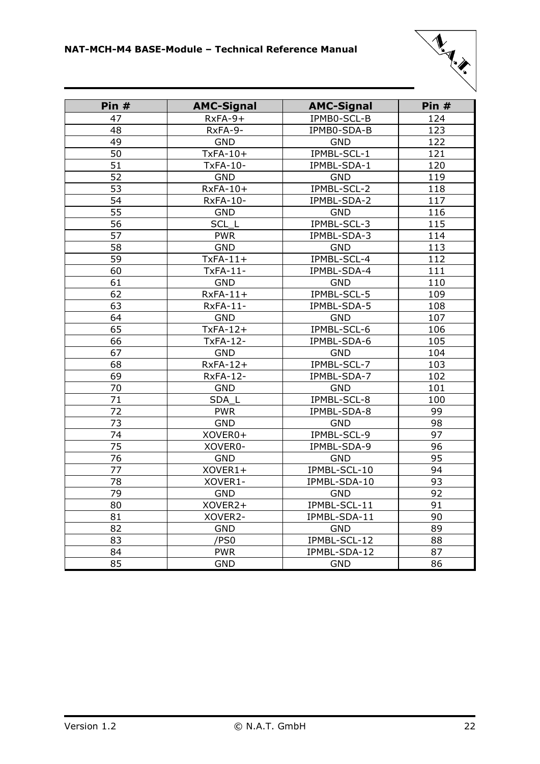

| Pin # | <b>AMC-Signal</b>        | <b>AMC-Signal</b> | Pin # |
|-------|--------------------------|-------------------|-------|
| 47    | $RxFA-9+$<br>IPMB0-SCL-B |                   | 124   |
| 48    | RxFA-9-<br>IPMB0-SDA-B   |                   | 123   |
| 49    | <b>GND</b><br><b>GND</b> |                   | 122   |
| 50    | $TxFA-10+$               | IPMBL-SCL-1       | 121   |
| 51    | <b>TxFA-10-</b>          | IPMBL-SDA-1       | 120   |
| 52    | <b>GND</b>               | <b>GND</b>        | 119   |
| 53    | RxFA-10+                 | IPMBL-SCL-2       | 118   |
| 54    | <b>RxFA-10-</b>          | IPMBL-SDA-2       | 117   |
| 55    | <b>GND</b>               | <b>GND</b>        | 116   |
| 56    | SCL <sub>L</sub>         | IPMBL-SCL-3       | 115   |
| 57    | <b>PWR</b>               | IPMBL-SDA-3       | 114   |
| 58    | <b>GND</b>               | <b>GND</b>        | 113   |
| 59    | $TxFA-11+$               | IPMBL-SCL-4       | 112   |
| 60    | TxFA-11-                 | IPMBL-SDA-4       | 111   |
| 61    | <b>GND</b>               | <b>GND</b>        | 110   |
| 62    | $RxFA-11+$               | IPMBL-SCL-5       | 109   |
| 63    | <b>RxFA-11-</b>          | IPMBL-SDA-5       | 108   |
| 64    | <b>GND</b>               | <b>GND</b>        | 107   |
| 65    | $TxFA-12+$               | IPMBL-SCL-6       | 106   |
| 66    | <b>TxFA-12-</b>          | IPMBL-SDA-6       | 105   |
| 67    | <b>GND</b>               | <b>GND</b>        | 104   |
| 68    | $RxFA-12+$               | IPMBL-SCL-7       | 103   |
| 69    | <b>RxFA-12-</b>          | IPMBL-SDA-7       | 102   |
| 70    | <b>GND</b>               | <b>GND</b>        | 101   |
| 71    | SDA L                    | IPMBL-SCL-8       | 100   |
| 72    | <b>PWR</b>               | IPMBL-SDA-8       | 99    |
| 73    | <b>GND</b>               | <b>GND</b>        | 98    |
| 74    | XOVER0+                  | IPMBL-SCL-9       | 97    |
| 75    | XOVER0-                  | IPMBL-SDA-9       | 96    |
| 76    | <b>GND</b>               | <b>GND</b>        | 95    |
| 77    | XOVER1+                  | IPMBL-SCL-10      | 94    |
| 78    | XOVER1-                  | IPMBL-SDA-10      | 93    |
| 79    | <b>GND</b>               | <b>GND</b>        | 92    |
| 80    | XOVER2+                  | IPMBL-SCL-11      | 91    |
| 81    | XOVER2-                  | IPMBL-SDA-11      | 90    |
| 82    | <b>GND</b>               | <b>GND</b>        | 89    |
| 83    | /PS0                     | IPMBL-SCL-12      | 88    |
| 84    | <b>PWR</b>               | IPMBL-SDA-12      | 87    |
| 85    | <b>GND</b>               | <b>GND</b>        | 86    |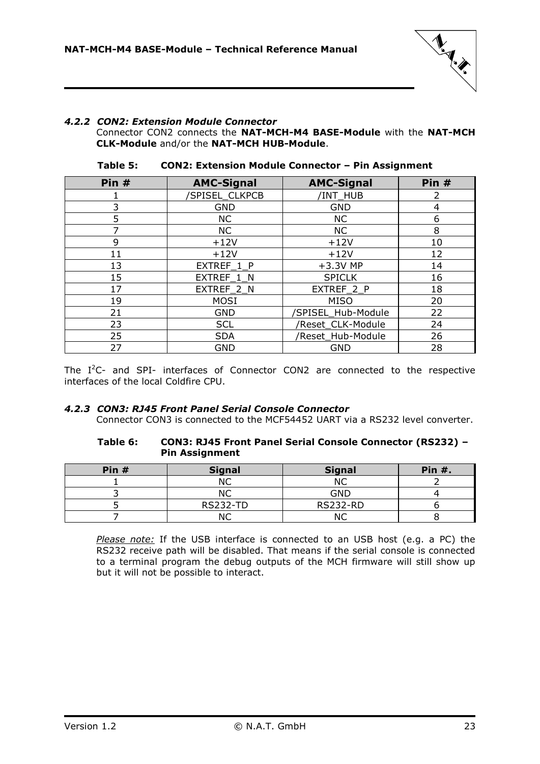

### <span id="page-22-0"></span>*4.2.2 CON2: Extension Module Connector*

Connector CON2 connects the **NAT-MCH-M4 BASE-Module** with the **NAT-MCH CLK-Module** and/or the **NAT-MCH HUB-Module**.

<span id="page-22-2"></span>

| Pin # | <b>AMC-Signal</b>    | <b>AMC-Signal</b>  | Pin # |
|-------|----------------------|--------------------|-------|
|       | <b>SPISEL CLKPCB</b> | /INT_HUB           | 2     |
| 3     | <b>GND</b>           | <b>GND</b>         | 4     |
| 5     | <b>NC</b>            | <b>NC</b>          | 6     |
|       | <b>NC</b>            | <b>NC</b>          | 8     |
| 9     | $+12V$               | $+12V$             | 10    |
| 11    | $+12V$               | $+12V$             | 12    |
| 13    | EXTREF 1 P           | $+3.3V$ MP         | 14    |
| 15    | EXTREF_1_N           | <b>SPICLK</b>      | 16    |
| 17    | EXTREF 2 N           | EXTREF 2 P         | 18    |
| 19    | <b>MOSI</b>          | <b>MISO</b>        | 20    |
| 21    | <b>GND</b>           | /SPISEL_Hub-Module | 22    |
| 23    | <b>SCL</b>           | /Reset_CLK-Module  | 24    |
| 25    | <b>SDA</b>           | /Reset Hub-Module  | 26    |
| 27    | <b>GND</b>           | GND                | 28    |

**Table 5: CON2: Extension Module Connector – Pin Assignment**

The  $I^2C$ - and SPI- interfaces of Connector CON2 are connected to the respective interfaces of the local Coldfire CPU.

#### <span id="page-22-3"></span><span id="page-22-1"></span>*4.2.3 CON3: RJ45 Front Panel Serial Console Connector*

Connector CON3 is connected to the MCF54452 UART via a RS232 level converter.

#### **Table 6: CON3: RJ45 Front Panel Serial Console Connector (RS232) – Pin Assignment**

| Pin $#$ | <b>Signal</b>   | <b>Signal</b>   | <b>Pin #.</b> |
|---------|-----------------|-----------------|---------------|
|         |                 | ΝC              |               |
|         |                 | <b>GND</b>      |               |
|         | <b>RS232-TD</b> | <b>RS232-RD</b> |               |
|         |                 |                 |               |

*Please note:* If the USB interface is connected to an USB host (e.g. a PC) the RS232 receive path will be disabled. That means if the serial console is connected to a terminal program the debug outputs of the MCH firmware will still show up but it will not be possible to interact.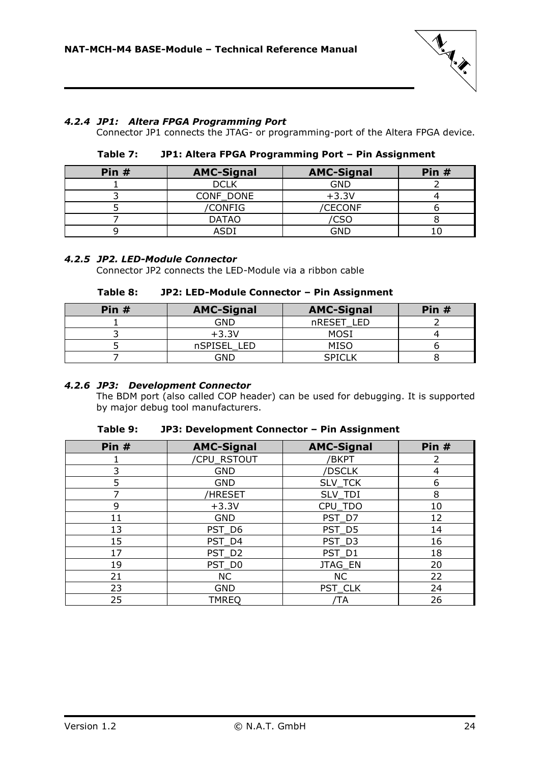

### <span id="page-23-3"></span><span id="page-23-0"></span>*4.2.4 JP1: Altera FPGA Programming Port*

Connector JP1 connects the JTAG- or programming-port of the Altera FPGA device.

| Pin $#$ | <b>AMC-Signal</b> | <b>AMC-Signal</b> | Pin $#$ |
|---------|-------------------|-------------------|---------|
|         | <b>DCLK</b>       | <b>GND</b>        |         |
|         | CONF DONE         | $+3.3V$           |         |
|         | <b>CONFIG</b>     | <b>CECONF</b>     |         |
|         | <b>DATAO</b>      | CSC               |         |
|         | וחאו              | GND               |         |

### **Table 7: JP1: Altera FPGA Programming Port – Pin Assignment**

### <span id="page-23-4"></span><span id="page-23-1"></span>*4.2.5 JP2. LED-Module Connector*

Connector JP2 connects the LED-Module via a ribbon cable

### **Table 8: JP2: LED-Module Connector – Pin Assignment**

| Pin $#$ | <b>AMC-Signal</b> | <b>AMC-Signal</b> | Pin $#$ |
|---------|-------------------|-------------------|---------|
|         | GND               | nRESET LED        |         |
|         | $+3.3V$           | MOSI              |         |
|         | nSPISEL LED       | MISO              |         |
|         | GND               | <b>SPICLK</b>     |         |

### <span id="page-23-2"></span>*4.2.6 JP3: Development Connector*

The BDM port (also called COP header) can be used for debugging. It is supported by major debug tool manufacturers.

| Table 9: | JP3: Development Connector - Pin Assignment |
|----------|---------------------------------------------|
|----------|---------------------------------------------|

<span id="page-23-5"></span>

| Pin # | <b>AMC-Signal</b>     | <b>AMC-Signal</b> | Pin # |
|-------|-----------------------|-------------------|-------|
|       | /CPU_RSTOUT           | /BKPT             | 2     |
| 3     | <b>GND</b>            | /DSCLK            | 4     |
| 5     | <b>GND</b>            | SLV_TCK           | 6     |
|       | /HRESET               | SLV TDI           | 8     |
| 9     | $+3.3V$               | CPU_TDO           | 10    |
| 11    | <b>GND</b>            | PST_D7            | 12    |
| 13    | PST_D6                | PST D5            | 14    |
| 15    | PST_D4                | PST_D3            | 16    |
| 17    | PST_D2                | PST_D1            | 18    |
| 19    | PST_D0                | JTAG_EN           | 20    |
| 21    | <b>NC</b>             | <b>NC</b>         | 22    |
| 23    | <b>GND</b><br>PST_CLK |                   | 24    |
| 25    | <b>TMREQ</b>          | ′TΑ               | 26    |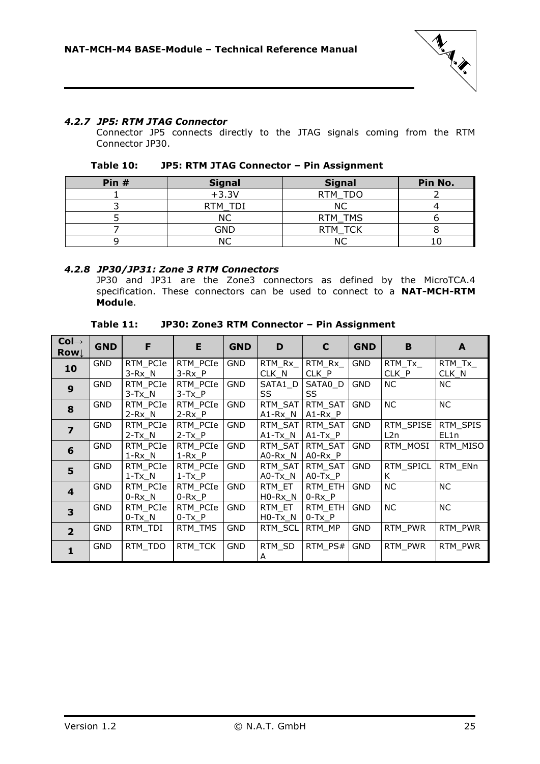

### <span id="page-24-0"></span>*4.2.7 JP5: RTM JTAG Connector*

Connector JP5 connects directly to the JTAG signals coming from the RTM Connector JP30.

| Table 10: | JP5: RTM JTAG Connector - Pin Assignment |
|-----------|------------------------------------------|
|-----------|------------------------------------------|

<span id="page-24-2"></span>

| Pin # | <b>Signal</b> | <b>Signal</b>  | Pin No. |
|-------|---------------|----------------|---------|
|       | $+3.3V$       | RTM TDO        |         |
|       | RTM           | ΝC             |         |
|       | NC            | RTM TMS        |         |
|       | GND           | <b>RTM TCK</b> |         |
|       |               |                |         |

#### <span id="page-24-1"></span>*4.2.8 JP30/JP31: Zone 3 RTM Connectors*

JP30 and JP31 are the Zone3 connectors as defined by the MicroTCA.4 specification. These connectors can be used to connect to a **NAT-MCH-RTM Module**.

| Table 11: | JP30: Zone3 RTM Connector - Pin Assignment |
|-----------|--------------------------------------------|
|-----------|--------------------------------------------|

<span id="page-24-3"></span>

| $Col \rightarrow$<br><b>Row</b> | <b>GND</b> | F                        | E                      | <b>GND</b> | D                    | $\mathbf C$            | <b>GND</b> | B                 | A                |
|---------------------------------|------------|--------------------------|------------------------|------------|----------------------|------------------------|------------|-------------------|------------------|
| 10                              | <b>GND</b> | RTM PCIe<br>$3-Rx_N$     | RTM PCIe<br>$3-Rx_P$   | <b>GND</b> | RTM Rx<br>CLK_N      | RTM Rx<br>$CLK_P$      | <b>GND</b> | RTM Tx<br>$CLK_P$ | RTM Tx<br>CLK_N  |
| $\boldsymbol{9}$                | <b>GND</b> | RTM PCIe<br>$3-Tx$ N     | RTM PCIe<br>$3-Tx$ P   | <b>GND</b> | SATA1_D<br>SS        | SATA0_D<br>SS          | <b>GND</b> | <b>NC</b>         | NC.              |
| 8                               | <b>GND</b> | RTM PCIe<br>$2-Rx_N$     | RTM PCIe<br>$2-Rx$ P   | <b>GND</b> | RTM SAT<br>$A1-Rx_N$ | RTM SAT<br>A1-Rx P     | <b>GND</b> | <b>NC</b>         | NC.              |
| $\overline{\phantom{a}}$        | <b>GND</b> | RTM PCIe<br>$2-Tx_N$     | RTM PCIe<br>$2-Tx_P$   | <b>GND</b> | RTM SAT<br>$A1-Tx_N$ | RTM SAT<br>$A1-Tx_P$   | <b>GND</b> | RTM SPISE<br>L2n  | RTM SPIS<br>EL1n |
| 6                               | <b>GND</b> | RTM PCIe<br>$1-Rx$ N     | RTM PCIe<br>$1-Rx$ $P$ | <b>GND</b> | RTM SAT<br>$AO-Rx_N$ | RTM_SAT<br>$AO-Rx$ $P$ | <b>GND</b> | RTM MOSI          | RTM MISO         |
| 5                               | <b>GND</b> | RTM PCIe<br>$1-Tx_N$     | RTM PCIe<br>$1-Tx_P$   | <b>GND</b> | RTM_SAT<br>$AO-Tx_N$ | RTM SAT<br>$AO-Tx_P$   | <b>GND</b> | RTM SPICL<br>K    | RTM ENn          |
| $\overline{\mathbf{4}}$         | <b>GND</b> | RTM_PCIe<br>$0$ -Rx $_N$ | RTM PCIe<br>$0-Rx_P$   | <b>GND</b> | RTM ET<br>$H0-Rx_N$  | RTM ETH<br>$0-Rx_P$    | <b>GND</b> | <b>NC</b>         | NC               |
| $\overline{\mathbf{3}}$         | <b>GND</b> | RTM PCIe<br>$0-Tx$ N     | RTM PCIe<br>$0-Tx$ P   | GND        | RTM ET<br>$HO-Tx$ N  | RTM ETH<br>$0-Tx$ P    | <b>GND</b> | <b>NC</b>         | NC               |
| $\overline{2}$                  | <b>GND</b> | RTM TDI                  | RTM TMS                | <b>GND</b> | RTM SCL              | RTM MP                 | <b>GND</b> | RTM PWR           | RTM PWR          |
| $\mathbf{1}$                    | <b>GND</b> | RTM TDO                  | RTM_TCK                | <b>GND</b> | RTM SD<br>A          | RTM PS#                | <b>GND</b> | RTM_PWR           | RTM PWR          |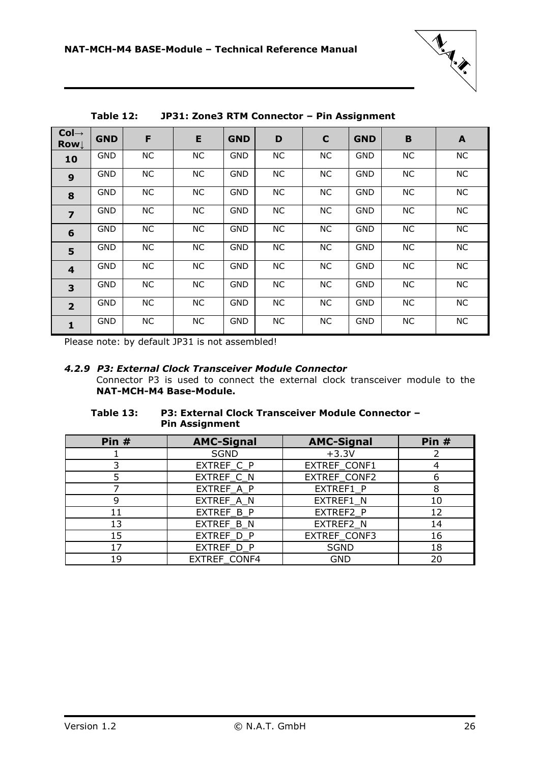

<span id="page-25-1"></span>

| $Col \rightarrow$<br><b>Row</b> | <b>GND</b> | F  | E         | <b>GND</b> | D         | $\mathbf C$ | <b>GND</b> | $\mathbf B$ | $\mathbf{A}$ |
|---------------------------------|------------|----|-----------|------------|-----------|-------------|------------|-------------|--------------|
| 10                              | <b>GND</b> | NC | <b>NC</b> | <b>GND</b> | NC        | <b>NC</b>   | <b>GND</b> | <b>NC</b>   | NC           |
| 9                               | <b>GND</b> | NC | <b>NC</b> | <b>GND</b> | <b>NC</b> | NC          | <b>GND</b> | NC          | <b>NC</b>    |
| 8                               | <b>GND</b> | NC | <b>NC</b> | <b>GND</b> | NC        | NC          | <b>GND</b> | <b>NC</b>   | <b>NC</b>    |
| $\overline{z}$                  | <b>GND</b> | NC | <b>NC</b> | <b>GND</b> | NC        | NC          | <b>GND</b> | NC          | <b>NC</b>    |
| 6                               | <b>GND</b> | NC | <b>NC</b> | <b>GND</b> | NC        | NC          | <b>GND</b> | <b>NC</b>   | <b>NC</b>    |
| 5                               | <b>GND</b> | NC | NC        | <b>GND</b> | <b>NC</b> | NC          | <b>GND</b> | NC          | <b>NC</b>    |
| $\overline{\mathbf{4}}$         | <b>GND</b> | NC | <b>NC</b> | <b>GND</b> | NC        | NC          | <b>GND</b> | <b>NC</b>   | <b>NC</b>    |
| 3                               | <b>GND</b> | NC | <b>NC</b> | <b>GND</b> | NC        | NC          | <b>GND</b> | NC          | <b>NC</b>    |
| $\overline{2}$                  | <b>GND</b> | NC | <b>NC</b> | <b>GND</b> | NC        | NC          | <b>GND</b> | NC          | <b>NC</b>    |
| $\mathbf{1}$                    | <b>GND</b> | NC | NC        | <b>GND</b> | NC        | NC          | <b>GND</b> | NC          | NC           |

**Table 12: JP31: Zone3 RTM Connector – Pin Assignment**

<span id="page-25-0"></span>Please note: by default JP31 is not assembled!

#### *4.2.9 P3: External Clock Transceiver Module Connector*

Connector P3 is used to connect the external clock transceiver module to the **NAT-MCH-M4 Base-Module.**

### <span id="page-25-2"></span>**Table 13: P3: External Clock Transceiver Module Connector – Pin Assignment**

| Pin $#$ | <b>AMC-Signal</b>   | <b>AMC-Signal</b> | Pin $#$ |  |  |
|---------|---------------------|-------------------|---------|--|--|
|         | <b>SGND</b>         | $+3.3V$           |         |  |  |
|         | EXTREF_C_P          | EXTREF_CONF1      |         |  |  |
|         | EXTREF_C_N          | 6                 |         |  |  |
|         | EXTREF_A_P          | EXTREF1 P         | 8       |  |  |
|         | EXTREF A N          | EXTREF1 N         | 10      |  |  |
| 11      | EXTREF_B_P          | EXTREF2 P<br>12   |         |  |  |
| 13      | EXTREF B N          | EXTREF2 N         | 14      |  |  |
| 15      | EXTREF_D_P          | EXTREF_CONF3      | 16      |  |  |
| 17      | EXTREF_D_P          | <b>SGND</b>       | 18      |  |  |
| 19      | <b>EXTREF CONF4</b> | <b>GND</b>        | 20      |  |  |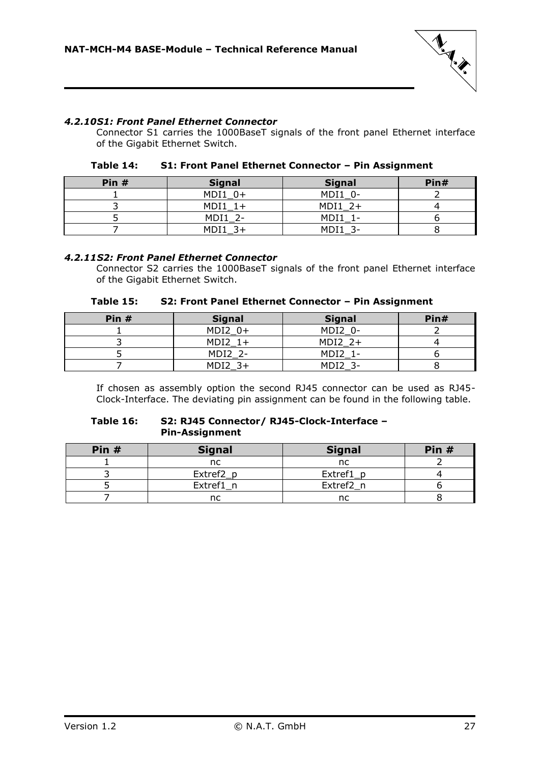

### <span id="page-26-0"></span>*4.2.10S1: Front Panel Ethernet Connector*

Connector S1 carries the 1000BaseT signals of the front panel Ethernet interface of the Gigabit Ethernet Switch.

| Table 14: | S1: Front Panel Ethernet Connector - Pin Assignment |  |
|-----------|-----------------------------------------------------|--|
|-----------|-----------------------------------------------------|--|

<span id="page-26-2"></span>

| Pin $#$ | <b>Signal</b> | <b>Signal</b> | Pin# |
|---------|---------------|---------------|------|
|         | $MDI1 0+$     | MDI1 0-       |      |
|         | MDI1          | $MDI1 2+$     |      |
|         | MDI1 2-       | MDI1          |      |
|         | MDI1<br>२∓    | MDI1          |      |

### <span id="page-26-1"></span>*4.2.11S2: Front Panel Ethernet Connector*

Connector S2 carries the 1000BaseT signals of the front panel Ethernet interface of the Gigabit Ethernet Switch.

| Table 15: | S2: Front Panel Ethernet Connector - Pin Assignment |
|-----------|-----------------------------------------------------|
|-----------|-----------------------------------------------------|

<span id="page-26-3"></span>

| Pin $#$ | <b>Signal</b> | <b>Signal</b> | Pin# |
|---------|---------------|---------------|------|
|         | $MDI2 0+$     | MDI2 0-       |      |
|         | $MDI2 1+$     | $MDI2$ 2+     |      |
|         | MDI2 2-       | MDI2 1-       |      |
|         | $MDI2$ 3+     | MDI2          |      |

If chosen as assembly option the second RJ45 connector can be used as RJ45- Clock-Interface. The deviating pin assignment can be found in the following table.

#### <span id="page-26-4"></span>**Table 16: S2: RJ45 Connector/ RJ45-Clock-Interface – Pin-Assignment**

| Pin $#$ | <b>Signal</b> | <b>Signal</b> | Pin # |
|---------|---------------|---------------|-------|
|         | nc            | nc            |       |
|         | Extref2_p     | Extref1_p     |       |
|         | Extref1 n     | Extref2 n     |       |
|         |               |               |       |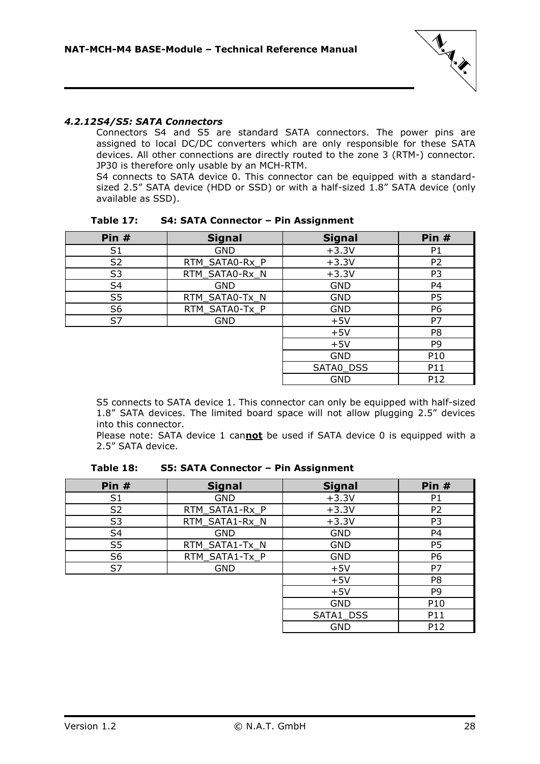

### <span id="page-27-0"></span>*4.2.12S4/S5: SATA Connectors*

Connectors S4 and S5 are standard SATA connectors. The power pins are assigned to local DC/DC converters which are only responsible for these SATA devices. All other connections are directly routed to the zone 3 (RTM-) connector. JP30 is therefore only usable by an MCH-RTM.

S4 connects to SATA device 0. This connector can be equipped with a standardsized 2.5" SATA device (HDD or SSD) or with a half-sized 1.8" SATA device (only available as SSD).

<span id="page-27-1"></span>

| Pin #          | <b>Signal</b>  | <b>Signal</b> | Pin #          |
|----------------|----------------|---------------|----------------|
| S <sub>1</sub> | <b>GND</b>     | $+3.3V$       | P <sub>1</sub> |
| S <sub>2</sub> | RTM_SATA0-Rx_P | $+3.3V$       | P <sub>2</sub> |
| S <sub>3</sub> | RTM_SATA0-Rx_N | $+3.3V$       | P <sub>3</sub> |
| S <sub>4</sub> | <b>GND</b>     | <b>GND</b>    | P <sub>4</sub> |
| S <sub>5</sub> | RTM_SATA0-Tx_N | <b>GND</b>    | P <sub>5</sub> |
| S <sub>6</sub> | RTM_SATA0-Tx_P | <b>GND</b>    | P6             |
| S7             | <b>GND</b>     | $+5V$         | P7             |
|                |                | $+5V$         | P <sub>8</sub> |
|                |                | $+5V$         | P <sub>9</sub> |
|                |                | <b>GND</b>    | P10            |
|                |                | SATA0_DSS     | P11            |
|                |                | <b>GND</b>    | P12            |

**Table 17: S4: SATA Connector – Pin Assignment**

S5 connects to SATA device 1. This connector can only be equipped with half-sized 1.8" SATA devices. The limited board space will not allow plugging 2.5" devices into this connector.

Please note: SATA device 1 can**not** be used if SATA device 0 is equipped with a 2.5" SATA device.

<span id="page-27-2"></span>

| Pin #          | <b>Signal</b>  | <b>Signal</b> | Pin $#$        |
|----------------|----------------|---------------|----------------|
| S <sub>1</sub> | <b>GND</b>     | $+3.3V$       | P1             |
| S <sub>2</sub> | RTM_SATA1-Rx_P | $+3.3V$       | P <sub>2</sub> |
| S <sub>3</sub> | RTM_SATA1-Rx_N | $+3.3V$       | P3             |
| S <sub>4</sub> | <b>GND</b>     | <b>GND</b>    | P4             |
| S <sub>5</sub> | RTM_SATA1-Tx_N | <b>GND</b>    | P <sub>5</sub> |
| S <sub>6</sub> | RTM_SATA1-Tx_P | <b>GND</b>    | P6             |
| S7             | <b>GND</b>     | $+5V$         | P7             |
|                |                | $+5V$         | P <sub>8</sub> |
|                |                | $+5V$         | P9             |
|                |                | <b>GND</b>    | P10            |
|                |                | SATA1_DSS     | P11            |
|                |                | <b>GND</b>    | P12            |

**Table 18: S5: SATA Connector – Pin Assignment**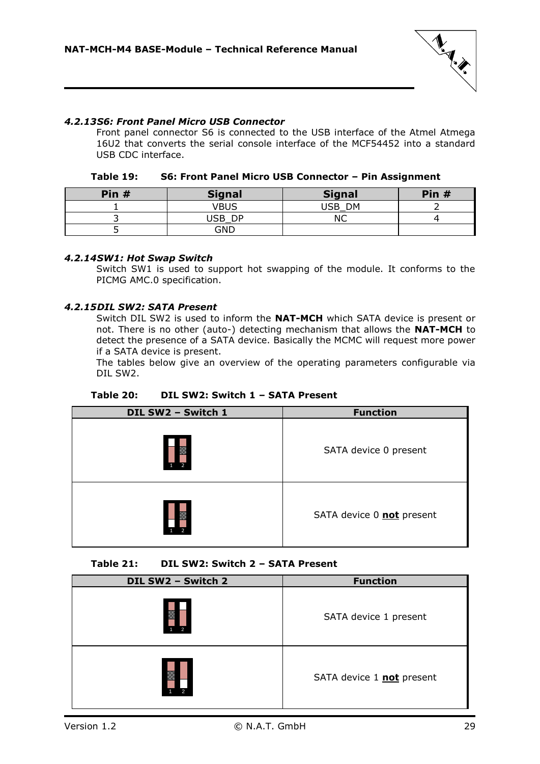

### <span id="page-28-0"></span>*4.2.13S6: Front Panel Micro USB Connector*

Front panel connector S6 is connected to the USB interface of the Atmel Atmega 16U2 that converts the serial console interface of the MCF54452 into a standard USB CDC interface.

| Table 19: | S6: Front Panel Micro USB Connector - Pin Assignment |
|-----------|------------------------------------------------------|
|-----------|------------------------------------------------------|

<span id="page-28-3"></span>

| Pin $#$ | <b>Signal</b> | <b>Signal</b> | Pin $#$ |
|---------|---------------|---------------|---------|
|         | VBUS          | USB DM        |         |
|         | USB DP        | ΝC            |         |
|         | <b>GND</b>    |               |         |

### <span id="page-28-1"></span>*4.2.14SW1: Hot Swap Switch*

Switch SW1 is used to support hot swapping of the module. It conforms to the PICMG AMC.0 specification.

#### <span id="page-28-2"></span>*4.2.15DIL SW2: SATA Present*

Switch DIL SW2 is used to inform the **NAT-MCH** which SATA device is present or not. There is no other (auto-) detecting mechanism that allows the **NAT-MCH** to detect the presence of a SATA device. Basically the MCMC will request more power if a SATA device is present.

The tables below give an overview of the operating parameters configurable via DIL SW2.

<span id="page-28-4"></span>

| DIL SW2 - Switch 1 | <b>Function</b>           |
|--------------------|---------------------------|
|                    | SATA device 0 present     |
|                    | SATA device 0 not present |

**Table 20: DIL SW2: Switch 1 – SATA Present**

### **Table 21: DIL SW2: Switch 2 – SATA Present**

<span id="page-28-5"></span>

| DIL SW2 - Switch 2 | <b>Function</b>           |
|--------------------|---------------------------|
| 2                  | SATA device 1 present     |
| $\overline{2}$     | SATA device 1 not present |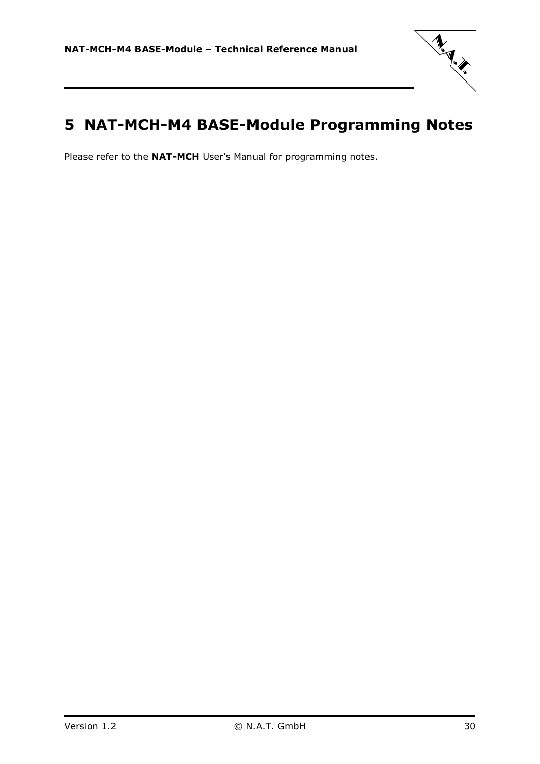

# <span id="page-29-0"></span>**5 NAT-MCH-M4 BASE-Module Programming Notes**

Please refer to the **NAT-MCH** User's Manual for programming notes.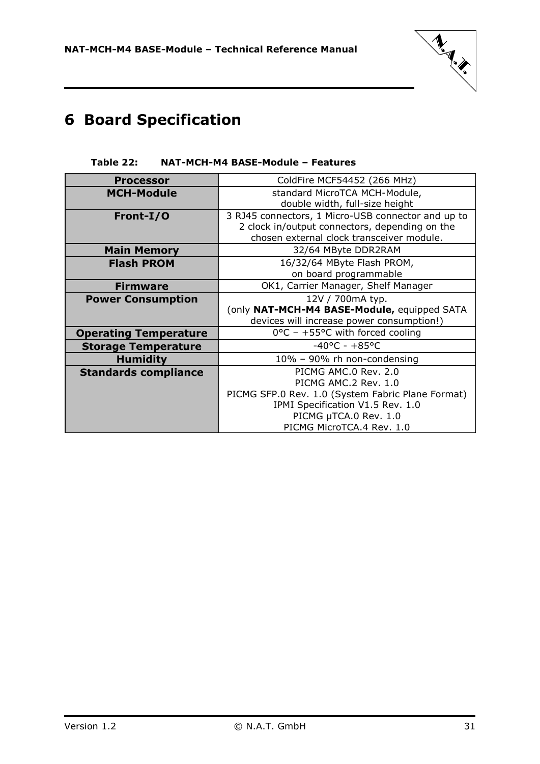

# <span id="page-30-0"></span>**6 Board Specification**

### **Table 22: NAT-MCH-M4 BASE-Module – Features**

<span id="page-30-1"></span>

| <b>Processor</b>             | ColdFire MCF54452 (266 MHz)                                                                                                                       |
|------------------------------|---------------------------------------------------------------------------------------------------------------------------------------------------|
| <b>MCH-Module</b>            | standard MicroTCA MCH-Module,<br>double width, full-size height                                                                                   |
| Front-I/O                    | 3 RJ45 connectors, 1 Micro-USB connector and up to<br>2 clock in/output connectors, depending on the<br>chosen external clock transceiver module. |
| <b>Main Memory</b>           | 32/64 MByte DDR2RAM                                                                                                                               |
| <b>Flash PROM</b>            | 16/32/64 MByte Flash PROM,                                                                                                                        |
|                              | on board programmable                                                                                                                             |
| <b>Firmware</b>              | OK1, Carrier Manager, Shelf Manager                                                                                                               |
| <b>Power Consumption</b>     | 12V / 700mA typ.                                                                                                                                  |
|                              | (only NAT-MCH-M4 BASE-Module, equipped SATA                                                                                                       |
|                              | devices will increase power consumption!)                                                                                                         |
| <b>Operating Temperature</b> | $0^{\circ}$ C - +55°C with forced cooling                                                                                                         |
| <b>Storage Temperature</b>   | $-40$ °C - $+85$ °C                                                                                                                               |
| <b>Humidity</b>              | 10% - 90% rh non-condensing                                                                                                                       |
| <b>Standards compliance</b>  | PICMG AMC.0 Rev. 2.0                                                                                                                              |
|                              | PICMG AMC.2 Rev. 1.0                                                                                                                              |
|                              | PICMG SFP.0 Rev. 1.0 (System Fabric Plane Format)                                                                                                 |
|                              | IPMI Specification V1.5 Rev. 1.0                                                                                                                  |
|                              | PICMG µTCA.0 Rev. 1.0                                                                                                                             |
|                              | PICMG MicroTCA.4 Rev. 1.0                                                                                                                         |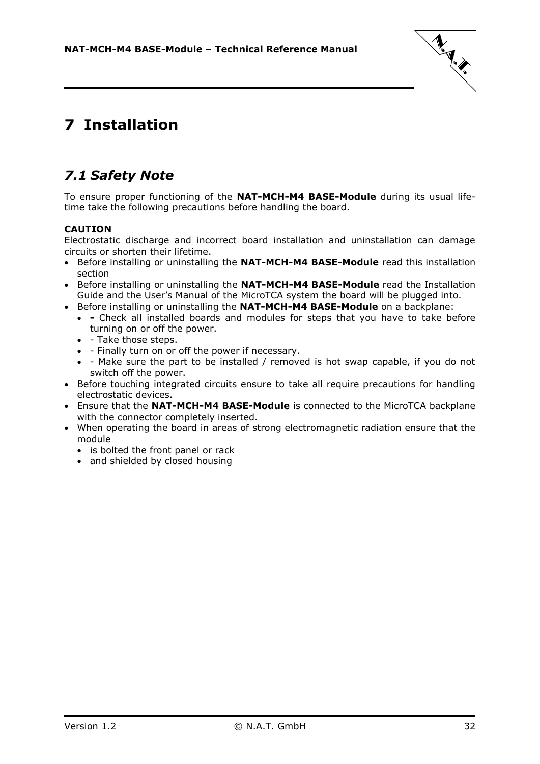

# <span id="page-31-0"></span>**7 Installation**

### <span id="page-31-1"></span>*7.1 Safety Note*

To ensure proper functioning of the **NAT-MCH-M4 BASE-Module** during its usual lifetime take the following precautions before handling the board.

### **CAUTION**

Electrostatic discharge and incorrect board installation and uninstallation can damage circuits or shorten their lifetime.

- Before installing or uninstalling the **NAT-MCH-M4 BASE-Module** read this installation section
- **•** Before installing or uninstalling the **NAT-MCH-M4 BASE-Module** read the Installation Guide and the User's Manual of the MicroTCA system the board will be plugged into.
- Before installing or uninstalling the **NAT-MCH-M4 BASE-Module** on a backplane:
	- **-** Check all installed boards and modules for steps that you have to take before turning on or off the power.
	- - Take those steps.
	- Finally turn on or off the power if necessary.
	- Make sure the part to be installed / removed is hot swap capable, if you do not switch off the power.
- Before touching integrated circuits ensure to take all require precautions for handling electrostatic devices.
- Ensure that the **NAT-MCH-M4 BASE-Module** is connected to the MicroTCA backplane with the connector completely inserted.
- When operating the board in areas of strong electromagnetic radiation ensure that the module
	- is bolted the front panel or rack
	- and shielded by closed housing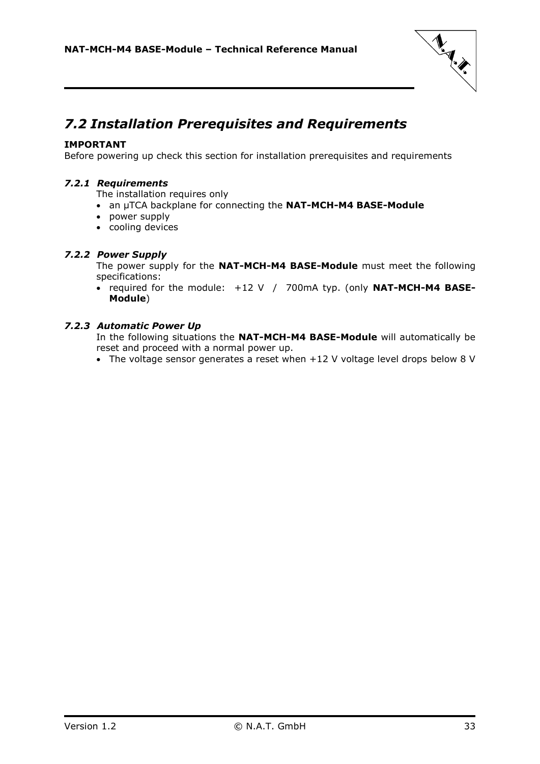

### <span id="page-32-0"></span>*7.2 Installation Prerequisites and Requirements*

### **IMPORTANT**

<span id="page-32-1"></span>Before powering up check this section for installation prerequisites and requirements

### *7.2.1 Requirements*

The installation requires only

- an µTCA backplane for connecting the **NAT-MCH-M4 BASE-Module**
- power supply
- cooling devices

### <span id="page-32-2"></span>*7.2.2 Power Supply*

The power supply for the **NAT-MCH-M4 BASE-Module** must meet the following specifications:

• required for the module: +12 V / 700mA typ. (only **NAT-MCH-M4 BASE-Module**)

### <span id="page-32-3"></span>*7.2.3 Automatic Power Up*

In the following situations the **NAT-MCH-M4 BASE-Module** will automatically be reset and proceed with a normal power up.

• The voltage sensor generates a reset when +12 V voltage level drops below 8 V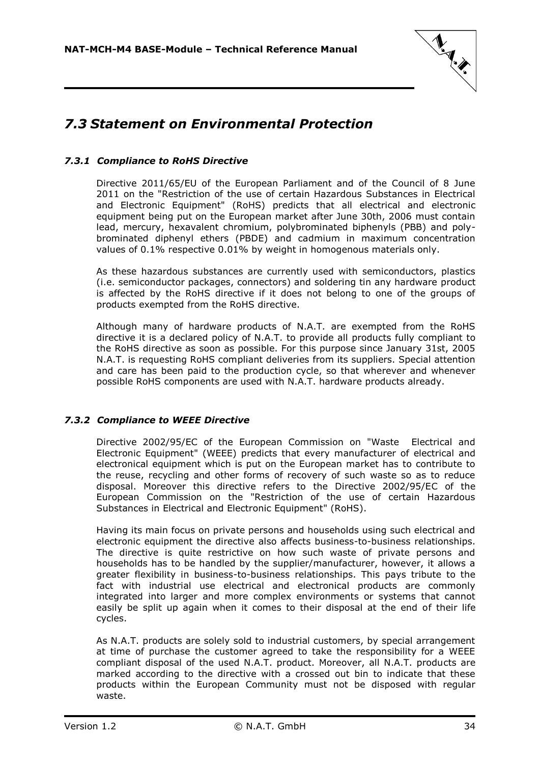

### <span id="page-33-0"></span>*7.3 Statement on Environmental Protection*

### <span id="page-33-1"></span>*7.3.1 Compliance to RoHS Directive*

Directive 2011/65/EU of the European Parliament and of the Council of 8 June 2011 on the "Restriction of the use of certain Hazardous Substances in Electrical and Electronic Equipment" (RoHS) predicts that all electrical and electronic equipment being put on the European market after June 30th, 2006 must contain lead, mercury, hexavalent chromium, polybrominated biphenyls (PBB) and polybrominated diphenyl ethers (PBDE) and cadmium in maximum concentration values of 0.1% respective 0.01% by weight in homogenous materials only.

As these hazardous substances are currently used with semiconductors, plastics (i.e. semiconductor packages, connectors) and soldering tin any hardware product is affected by the RoHS directive if it does not belong to one of the groups of products exempted from the RoHS directive.

Although many of hardware products of N.A.T. are exempted from the RoHS directive it is a declared policy of N.A.T. to provide all products fully compliant to the RoHS directive as soon as possible. For this purpose since January 31st, 2005 N.A.T. is requesting RoHS compliant deliveries from its suppliers. Special attention and care has been paid to the production cycle, so that wherever and whenever possible RoHS components are used with N.A.T. hardware products already.

### <span id="page-33-2"></span>*7.3.2 Compliance to WEEE Directive*

Directive 2002/95/EC of the European Commission on "Waste Electrical and Electronic Equipment" (WEEE) predicts that every manufacturer of electrical and electronical equipment which is put on the European market has to contribute to the reuse, recycling and other forms of recovery of such waste so as to reduce disposal. Moreover this directive refers to the Directive 2002/95/EC of the European Commission on the "Restriction of the use of certain Hazardous Substances in Electrical and Electronic Equipment" (RoHS).

Having its main focus on private persons and households using such electrical and electronic equipment the directive also affects business-to-business relationships. The directive is quite restrictive on how such waste of private persons and households has to be handled by the supplier/manufacturer, however, it allows a greater flexibility in business-to-business relationships. This pays tribute to the fact with industrial use electrical and electronical products are commonly integrated into larger and more complex environments or systems that cannot easily be split up again when it comes to their disposal at the end of their life cycles.

As N.A.T. products are solely sold to industrial customers, by special arrangement at time of purchase the customer agreed to take the responsibility for a WEEE compliant disposal of the used N.A.T. product. Moreover, all N.A.T. products are marked according to the directive with a crossed out bin to indicate that these products within the European Community must not be disposed with regular waste.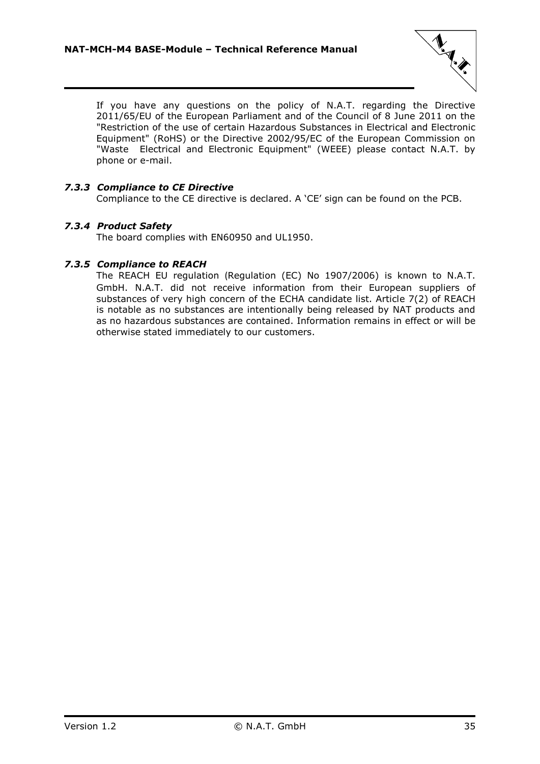

If you have any questions on the policy of N.A.T. regarding the Directive 2011/65/EU of the European Parliament and of the Council of 8 June 2011 on the "Restriction of the use of certain Hazardous Substances in Electrical and Electronic Equipment" (RoHS) or the Directive 2002/95/EC of the European Commission on "Waste Electrical and Electronic Equipment" (WEEE) please contact N.A.T. by phone or e-mail.

### <span id="page-34-0"></span>*7.3.3 Compliance to CE Directive*

Compliance to the CE directive is declared. A 'CE' sign can be found on the PCB.

### <span id="page-34-1"></span>*7.3.4 Product Safety*

The board complies with EN60950 and UL1950.

### <span id="page-34-2"></span>*7.3.5 Compliance to REACH*

The REACH EU regulation (Regulation (EC) No 1907/2006) is known to N.A.T. GmbH. N.A.T. did not receive information from their European suppliers of substances of very high concern of the ECHA candidate list. Article 7(2) of REACH is notable as no substances are intentionally being released by NAT products and as no hazardous substances are contained. Information remains in effect or will be otherwise stated immediately to our customers.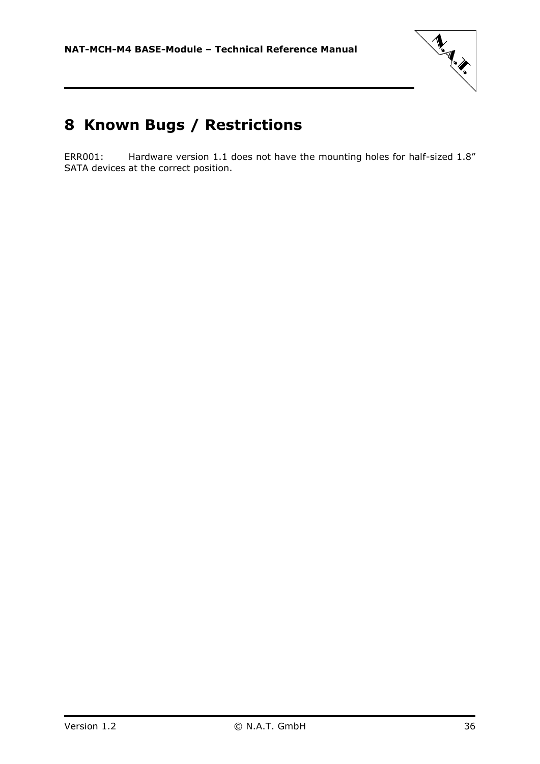

# <span id="page-35-0"></span>**8 Known Bugs / Restrictions**

ERR001: Hardware version 1.1 does not have the mounting holes for half-sized 1.8" SATA devices at the correct position.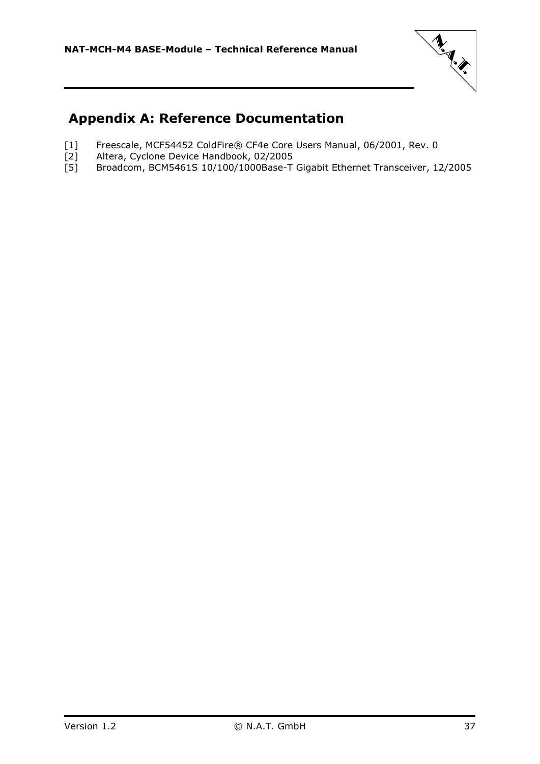

### <span id="page-36-0"></span>**Appendix A: Reference Documentation**

- [1] Freescale, MCF54452 ColdFire® CF4e Core Users Manual, 06/2001, Rev. 0<br>[2] Altera, Cyclone Device Handbook, 02/2005<br>[5] Broadcom, BCM5461S 10/100/1000Base-T Gigabit Ethernet Transceiver, 1
- Altera, Cyclone Device Handbook, 02/2005
- Broadcom, BCM5461S 10/100/1000Base-T Gigabit Ethernet Transceiver, 12/2005